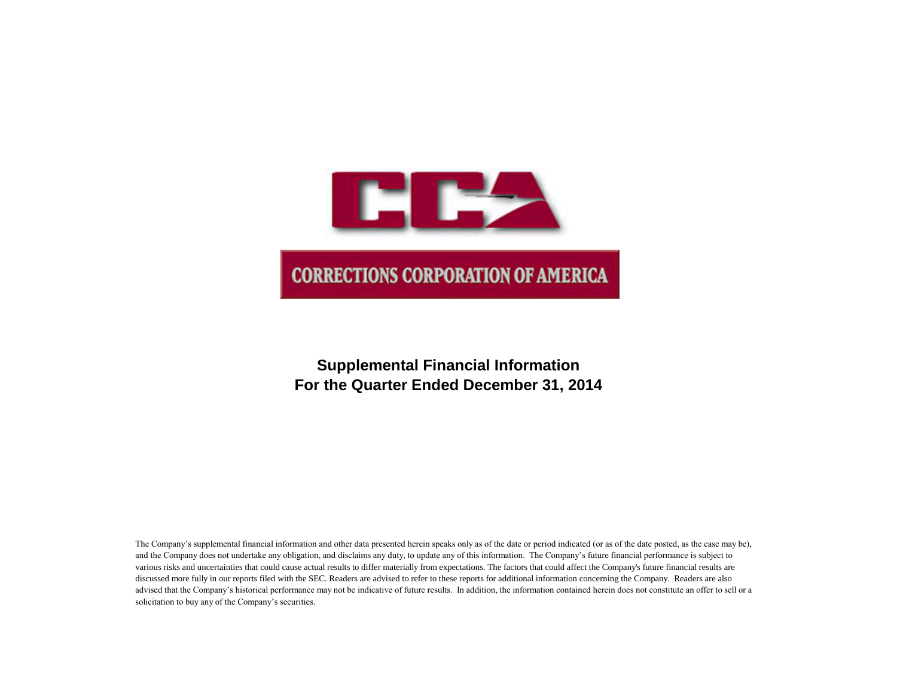

# **Supplemental Financial Information For the Quarter Ended December 31, 2014**

The Company's supplemental financial information and other data presented herein speaks only as of the date or period indicated (or as of the date posted, as the case may be), and the Company does not undertake any obligation, and disclaims any duty, to update any of this information. The Company's future financial performance is subject to various risks and uncertainties that could cause actual results to differ materially from expectations. The factors that could affect the Company's future financial results are discussed more fully in our reports filed with the SEC. Readers are advised to refer to these reports for additional information concerning the Company. Readers are also advised that the Company's historical performance may not be indicative of future results. In addition, the information contained herein does not constitute an offer to sell or a solicitation to buy any of the Company's securities.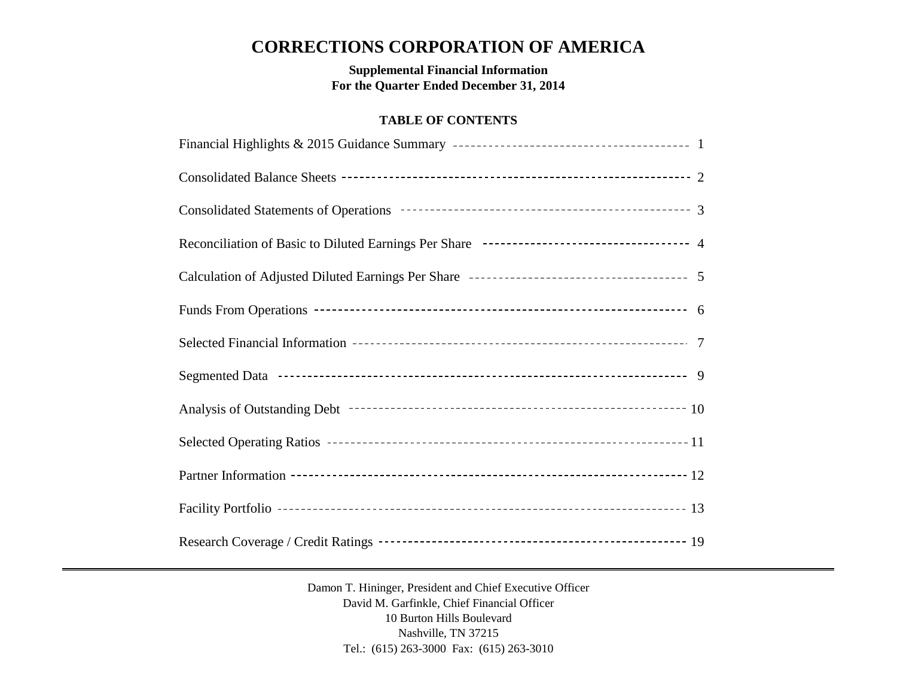# **CORRECTIONS CORPORATION OF AMERICA**

**Supplemental Financial Information For the Quarter Ended December 31, 2014**

## **TABLE OF CONTENTS**

| Reconciliation of Basic to Diluted Earnings Per Share --------------------------------- 4 |
|-------------------------------------------------------------------------------------------|
|                                                                                           |
|                                                                                           |
|                                                                                           |
|                                                                                           |
|                                                                                           |
|                                                                                           |
|                                                                                           |
|                                                                                           |
|                                                                                           |

Damon T. Hininger, President and Chief Executive Officer David M. Garfinkle, Chief Financial Officer 10 Burton Hills Boulevard Nashville, TN 37215 Tel.: (615) 263-3000 Fax: (615) 263-3010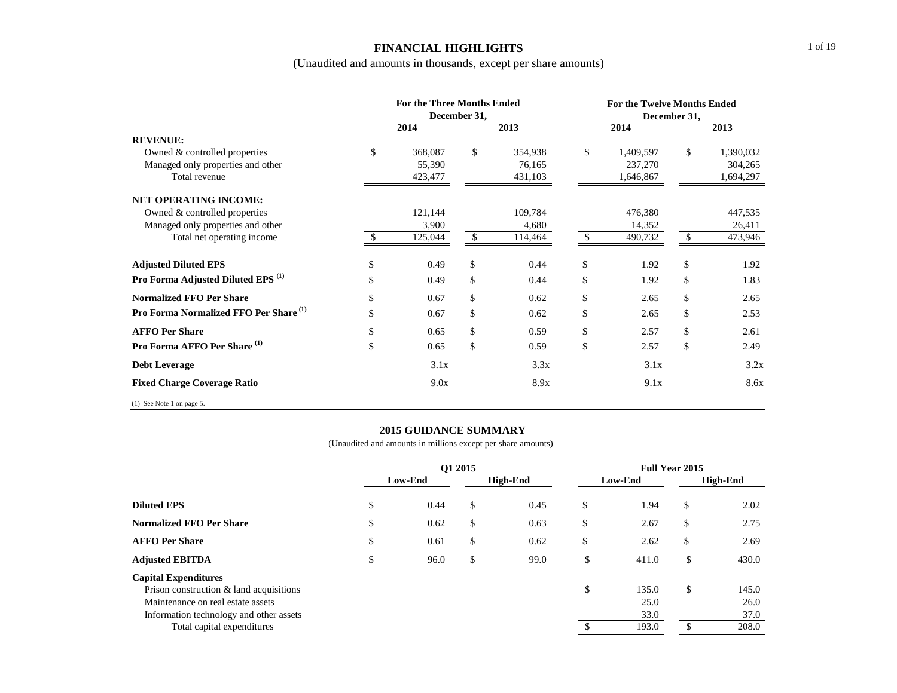### **FINANCIAL HIGHLIGHTS**

(Unaudited and amounts in thousands, except per share amounts)

|                                                   | <b>For the Three Months Ended</b> | December 31, |         |               | <b>For the Twelve Months Ended</b><br>December 31, |    |           |
|---------------------------------------------------|-----------------------------------|--------------|---------|---------------|----------------------------------------------------|----|-----------|
|                                                   | 2014                              |              | 2013    |               | 2014                                               |    | 2013      |
| <b>REVENUE:</b>                                   |                                   |              |         |               |                                                    |    |           |
| Owned & controlled properties                     | \$<br>368,087                     | \$           | 354,938 | \$            | 1,409,597                                          | \$ | 1,390,032 |
| Managed only properties and other                 | 55,390                            |              | 76,165  |               | 237,270                                            |    | 304,265   |
| Total revenue                                     | 423,477                           |              | 431,103 |               | 1,646,867                                          |    | 1,694,297 |
| <b>NET OPERATING INCOME:</b>                      |                                   |              |         |               |                                                    |    |           |
| Owned & controlled properties                     | 121,144                           |              | 109,784 |               | 476,380                                            |    | 447,535   |
| Managed only properties and other                 | 3,900                             |              | 4,680   |               | 14,352                                             |    | 26,411    |
| Total net operating income                        | 125,044                           | \$           | 114,464 | -\$           | 490,732                                            | \$ | 473,946   |
| <b>Adjusted Diluted EPS</b>                       | \$<br>0.49                        | \$           | 0.44    | \$            | 1.92                                               | \$ | 1.92      |
| Pro Forma Adjusted Diluted EPS <sup>(1)</sup>     | \$<br>0.49                        | \$           | 0.44    | $\mathcal{S}$ | 1.92                                               | \$ | 1.83      |
| <b>Normalized FFO Per Share</b>                   | \$<br>0.67                        | \$           | 0.62    | \$            | 2.65                                               | \$ | 2.65      |
| Pro Forma Normalized FFO Per Share <sup>(1)</sup> | \$<br>0.67                        | \$           | 0.62    | \$            | 2.65                                               | \$ | 2.53      |
| <b>AFFO Per Share</b>                             | \$<br>0.65                        | \$           | 0.59    | $\mathcal{S}$ | 2.57                                               | \$ | 2.61      |
| Pro Forma AFFO Per Share <sup>(1)</sup>           | \$<br>0.65                        | \$           | 0.59    | \$            | 2.57                                               | \$ | 2.49      |
| <b>Debt Leverage</b>                              | 3.1x                              |              | 3.3x    |               | 3.1x                                               |    | 3.2x      |
| <b>Fixed Charge Coverage Ratio</b>                | 9.0x                              |              | 8.9x    |               | 9.1x                                               |    | 8.6x      |
| $(1)$ See Note 1 on page 5.                       |                                   |              |         |               |                                                    |    |           |

### **2015 GUIDANCE SUMMARY**

|                                            | O1 2015 |         |    |                 |    |         | <b>Full Year 2015</b> |       |  |
|--------------------------------------------|---------|---------|----|-----------------|----|---------|-----------------------|-------|--|
|                                            |         | Low-End |    | <b>High-End</b> |    | Low-End | <b>High-End</b>       |       |  |
| <b>Diluted EPS</b>                         | \$      | 0.44    | \$ | 0.45            | \$ | 1.94    | \$                    | 2.02  |  |
| <b>Normalized FFO Per Share</b>            | \$      | 0.62    | \$ | 0.63            | \$ | 2.67    | \$                    | 2.75  |  |
| <b>AFFO Per Share</b>                      | \$      | 0.61    | \$ | 0.62            | \$ | 2.62    | \$                    | 2.69  |  |
| <b>Adjusted EBITDA</b>                     | \$      | 96.0    | \$ | 99.0            | \$ | 411.0   | \$                    | 430.0 |  |
| <b>Capital Expenditures</b>                |         |         |    |                 |    |         |                       |       |  |
| Prison construction $\&$ land acquisitions |         |         |    |                 | \$ | 135.0   | \$                    | 145.0 |  |
| Maintenance on real estate assets          |         |         |    |                 |    | 25.0    |                       | 26.0  |  |
| Information technology and other assets    |         |         |    |                 |    | 33.0    |                       | 37.0  |  |
| Total capital expenditures                 |         |         |    |                 |    | 193.0   |                       | 208.0 |  |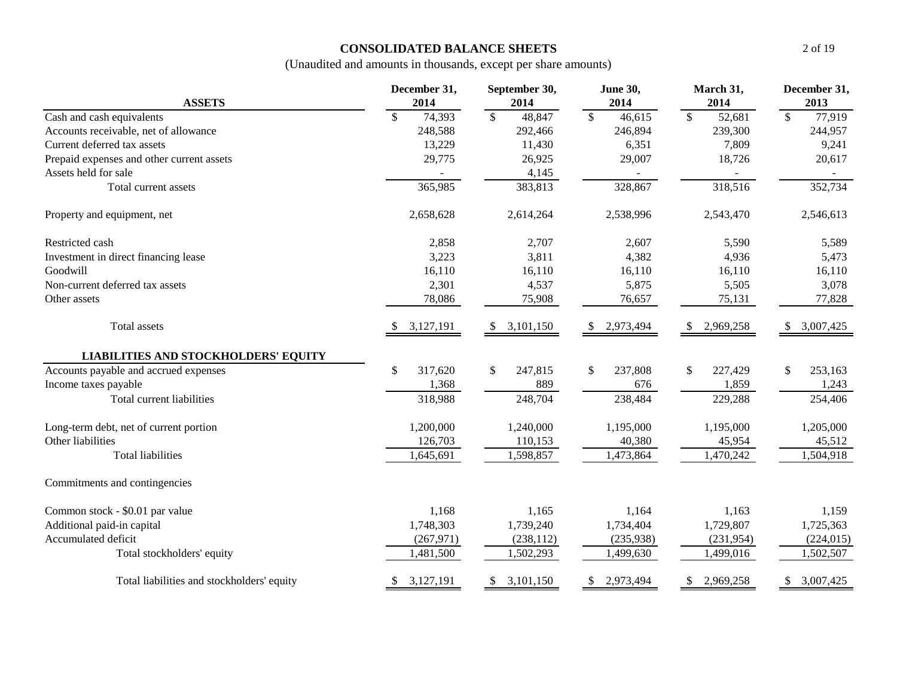## **CONSOLIDATED BALANCE SHEETS**

| <b>ASSETS</b>                               | December 31,<br>2014               | September 30,<br>2014      | <b>June 30,</b><br>2014 | March 31,<br>2014                  | December 31,<br>2013               |  |  |
|---------------------------------------------|------------------------------------|----------------------------|-------------------------|------------------------------------|------------------------------------|--|--|
| Cash and cash equivalents                   | $\overline{\mathcal{S}}$<br>74,393 | $\sqrt{3}$<br>48,847       | $\sqrt{S}$<br>46,615    | $\overline{\mathcal{S}}$<br>52,681 | $\overline{\mathcal{S}}$<br>77,919 |  |  |
| Accounts receivable, net of allowance       | 248,588                            | 292,466                    | 246,894                 | 239,300                            | 244,957                            |  |  |
| Current deferred tax assets                 | 13,229                             | 11,430                     | 6,351                   | 7,809                              | 9,241                              |  |  |
| Prepaid expenses and other current assets   | 29,775                             | 26,925                     | 29,007                  | 18,726                             | 20,617                             |  |  |
| Assets held for sale                        |                                    | 4,145                      |                         |                                    |                                    |  |  |
| Total current assets                        | 365,985                            | 383,813                    | 328,867                 | 318,516                            | 352,734                            |  |  |
| Property and equipment, net                 | 2,658,628                          | 2,614,264                  | 2,538,996               | 2,543,470                          | 2,546,613                          |  |  |
| Restricted cash                             | 2,858                              | 2,707                      | 2,607                   | 5,590                              | 5,589                              |  |  |
| Investment in direct financing lease        | 3,223                              | 3,811                      | 4,382                   | 4,936                              | 5,473                              |  |  |
| Goodwill                                    | 16,110                             | 16,110                     | 16,110                  | 16,110                             | 16,110                             |  |  |
| Non-current deferred tax assets             | 2,301                              | 4,537                      | 5,875                   | 5,505                              | 3,078                              |  |  |
| Other assets                                | 78,086                             | 75,908                     | 76,657                  | 75,131                             | 77,828                             |  |  |
| Total assets                                | 3,127,191                          | 3,101,150<br>-S            | 2,973,494<br>S.         | 2,969,258<br><sup>\$</sup>         | 3,007,425<br>\$                    |  |  |
| <b>LIABILITIES AND STOCKHOLDERS' EQUITY</b> |                                    |                            |                         |                                    |                                    |  |  |
| Accounts payable and accrued expenses       | $\mathcal{S}$<br>317,620           | \$<br>247,815              | \$<br>237,808           | 227,429<br>\$                      | \$<br>253,163                      |  |  |
| Income taxes payable                        | 1,368                              | 889                        | 676                     | 1,859                              | 1,243                              |  |  |
| Total current liabilities                   | 318,988                            | 248,704                    | 238,484                 | 229,288                            | 254,406                            |  |  |
| Long-term debt, net of current portion      | 1,200,000                          | 1,240,000                  | 1,195,000               | 1,195,000                          | 1,205,000                          |  |  |
| Other liabilities                           | 126,703                            | 110,153                    | 40,380                  | 45,954                             | 45,512                             |  |  |
| <b>Total liabilities</b>                    | 1,645,691                          | 1,598,857                  | 1,473,864               | 1,470,242                          | 1,504,918                          |  |  |
| Commitments and contingencies               |                                    |                            |                         |                                    |                                    |  |  |
| Common stock - \$0.01 par value             | 1,168                              | 1,165                      | 1,164                   | 1,163                              | 1,159                              |  |  |
| Additional paid-in capital                  | 1,748,303                          | 1,739,240                  | 1,734,404               | 1,729,807                          | 1,725,363                          |  |  |
| Accumulated deficit                         | (267, 971)                         | (238, 112)                 | (235,938)               | (231,954)                          | (224, 015)                         |  |  |
| Total stockholders' equity                  | 1,481,500                          | 1,502,293                  | 1,499,630               | 1,499,016                          | 1,502,507                          |  |  |
| Total liabilities and stockholders' equity  | \$3,127,191                        | 3,101,150<br><sup>\$</sup> | 2,973,494<br>\$         | 2,969,258<br>\$                    | \$3,007,425                        |  |  |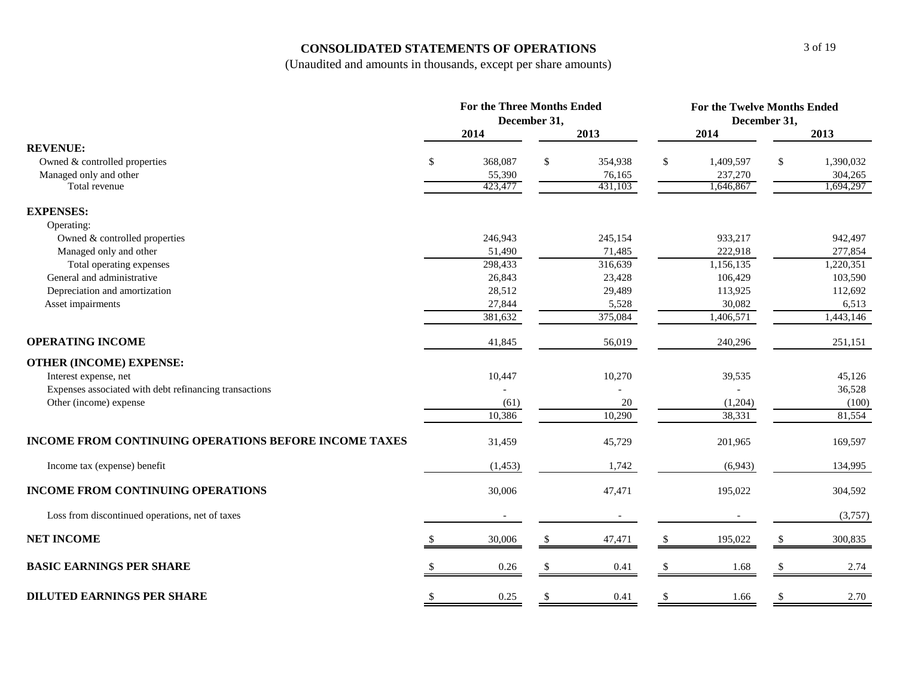## **CONSOLIDATED STATEMENTS OF OPERATIONS**

|                                                        | <b>For the Three Months Ended</b> |                          |    |                          |               | <b>For the Twelve Months Ended</b> |    |                      |  |  |  |
|--------------------------------------------------------|-----------------------------------|--------------------------|----|--------------------------|---------------|------------------------------------|----|----------------------|--|--|--|
|                                                        | December 31,                      |                          |    |                          |               | December 31,                       |    |                      |  |  |  |
|                                                        |                                   | 2014                     |    | 2013                     |               | 2014                               |    | 2013                 |  |  |  |
| <b>REVENUE:</b>                                        |                                   |                          |    |                          |               |                                    |    |                      |  |  |  |
| Owned & controlled properties                          | $\mathbb{S}$                      | 368,087                  | \$ | 354,938                  | \$            | 1,409,597                          | \$ | 1,390,032            |  |  |  |
| Managed only and other<br>Total revenue                |                                   | 55,390<br>423,477        |    | 76,165<br>431,103        |               | 237,270<br>1,646,867               |    | 304,265<br>1,694,297 |  |  |  |
|                                                        |                                   |                          |    |                          |               |                                    |    |                      |  |  |  |
| <b>EXPENSES:</b>                                       |                                   |                          |    |                          |               |                                    |    |                      |  |  |  |
| Operating:                                             |                                   |                          |    |                          |               |                                    |    |                      |  |  |  |
| Owned & controlled properties                          |                                   | 246,943                  |    | 245,154                  |               | 933,217                            |    | 942,497              |  |  |  |
| Managed only and other                                 |                                   | 51,490                   |    | 71,485                   |               | 222,918                            |    | 277,854              |  |  |  |
| Total operating expenses                               |                                   | 298,433                  |    | 316,639                  |               | 1,156,135                          |    | 1,220,351            |  |  |  |
| General and administrative                             |                                   | 26,843                   |    | 23,428                   |               | 106,429                            |    | 103,590              |  |  |  |
| Depreciation and amortization                          |                                   | 28,512                   |    | 29,489                   |               | 113,925                            |    | 112,692              |  |  |  |
| Asset impairments                                      |                                   | 27,844                   |    | 5,528                    |               | 30,082                             |    | 6,513                |  |  |  |
|                                                        |                                   | 381,632                  |    | 375,084                  |               | 1,406,571                          |    | 1,443,146            |  |  |  |
| <b>OPERATING INCOME</b>                                |                                   | 41,845                   |    | 56,019                   |               | 240,296                            |    | 251,151              |  |  |  |
| <b>OTHER (INCOME) EXPENSE:</b>                         |                                   |                          |    |                          |               |                                    |    |                      |  |  |  |
| Interest expense, net                                  |                                   | 10,447                   |    | 10,270                   |               | 39,535                             |    | 45,126               |  |  |  |
| Expenses associated with debt refinancing transactions |                                   |                          |    |                          |               |                                    |    | 36,528               |  |  |  |
| Other (income) expense                                 |                                   | (61)                     |    | 20                       |               | (1,204)                            |    | (100)                |  |  |  |
|                                                        |                                   | 10,386                   |    | 10,290                   |               | 38,331                             |    | 81,554               |  |  |  |
| INCOME FROM CONTINUING OPERATIONS BEFORE INCOME TAXES  |                                   | 31,459                   |    | 45,729                   |               | 201,965                            |    | 169,597              |  |  |  |
| Income tax (expense) benefit                           |                                   | (1, 453)                 |    | 1,742                    |               | (6,943)                            |    | 134,995              |  |  |  |
| <b>INCOME FROM CONTINUING OPERATIONS</b>               |                                   | 30,006                   |    | 47,471                   |               | 195,022                            |    | 304,592              |  |  |  |
| Loss from discontinued operations, net of taxes        |                                   | $\overline{\phantom{a}}$ |    | $\overline{\phantom{a}}$ |               |                                    |    | (3,757)              |  |  |  |
| <b>NET INCOME</b>                                      |                                   | 30,006                   |    | 47,471                   | $\mathbb{S}$  | 195,022                            | \$ | 300,835              |  |  |  |
| <b>BASIC EARNINGS PER SHARE</b>                        |                                   | 0.26                     |    | 0.41                     | $\mathcal{S}$ | 1.68                               |    | 2.74                 |  |  |  |
| <b>DILUTED EARNINGS PER SHARE</b>                      | -S                                | 0.25                     | -S | 0.41                     | \$            | 1.66                               |    | 2.70                 |  |  |  |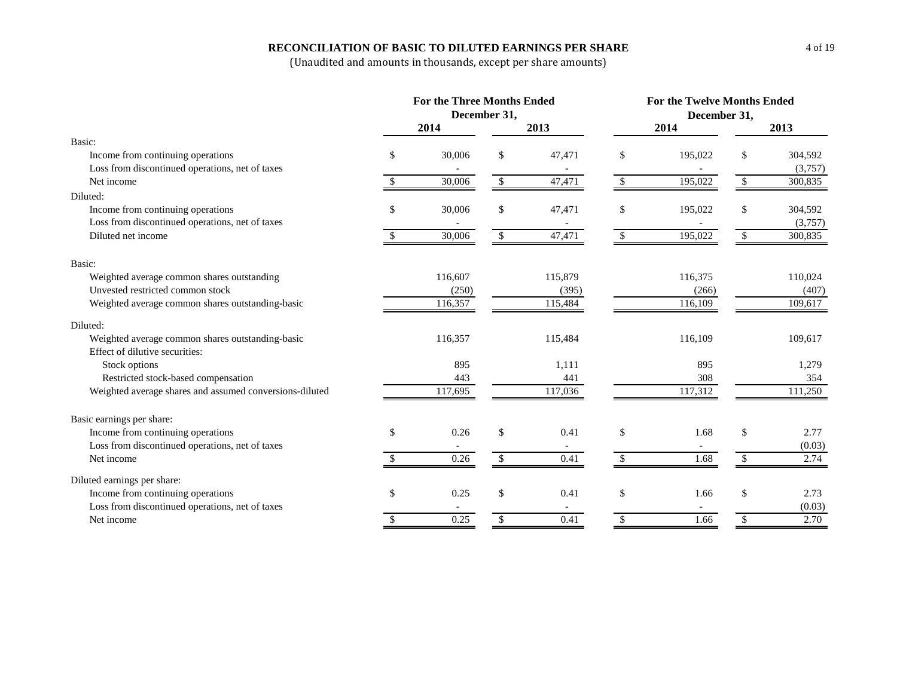### **RECONCILIATION OF BASIC TO DILUTED EARNINGS PER SHARE**

|                                                         | <b>For the Three Months Ended</b> |                          |               |         |              | <b>For the Twelve Months Ended</b> |               |         |  |  |
|---------------------------------------------------------|-----------------------------------|--------------------------|---------------|---------|--------------|------------------------------------|---------------|---------|--|--|
|                                                         | December 31,                      |                          |               |         |              | December 31,                       |               |         |  |  |
|                                                         |                                   | 2014                     |               | 2013    |              | 2014                               |               | 2013    |  |  |
| Basic:                                                  |                                   |                          |               |         |              |                                    |               |         |  |  |
| Income from continuing operations                       | \$                                | 30,006                   | \$            | 47,471  | \$           | 195,022                            | \$            | 304,592 |  |  |
| Loss from discontinued operations, net of taxes         |                                   |                          |               |         |              |                                    |               | (3,757) |  |  |
| Net income                                              | \$                                | 30,006                   | \$            | 47,471  | $\mathbb{S}$ | 195,022                            | \$            | 300,835 |  |  |
| Diluted:                                                |                                   |                          |               |         |              |                                    |               |         |  |  |
| Income from continuing operations                       | \$                                | 30,006                   | \$            | 47,471  | \$           | 195,022                            | \$            | 304,592 |  |  |
| Loss from discontinued operations, net of taxes         |                                   |                          |               |         |              |                                    |               | (3,757) |  |  |
| Diluted net income                                      |                                   | 30,006                   | \$            | 47,471  | $\mathbb{S}$ | 195,022                            | $\mathcal{S}$ | 300,835 |  |  |
| Basic:                                                  |                                   |                          |               |         |              |                                    |               |         |  |  |
| Weighted average common shares outstanding              |                                   | 116,607                  |               | 115,879 |              | 116,375                            |               | 110,024 |  |  |
| Unvested restricted common stock                        |                                   | (250)                    |               | (395)   |              | (266)                              |               | (407)   |  |  |
| Weighted average common shares outstanding-basic        |                                   | 116,357                  |               | 115,484 |              | 116,109                            |               | 109,617 |  |  |
| Diluted:                                                |                                   |                          |               |         |              |                                    |               |         |  |  |
| Weighted average common shares outstanding-basic        |                                   | 116,357                  |               | 115,484 |              | 116,109                            |               | 109,617 |  |  |
| Effect of dilutive securities:                          |                                   |                          |               |         |              |                                    |               |         |  |  |
| Stock options                                           |                                   | 895                      |               | 1,111   |              | 895                                |               | 1,279   |  |  |
| Restricted stock-based compensation                     |                                   | 443                      |               | 441     |              | 308                                |               | 354     |  |  |
| Weighted average shares and assumed conversions-diluted |                                   | 117,695                  |               | 117,036 |              | 117,312                            |               | 111,250 |  |  |
| Basic earnings per share:                               |                                   |                          |               |         |              |                                    |               |         |  |  |
| Income from continuing operations                       | \$                                | 0.26                     | \$            | 0.41    | \$           | 1.68                               | \$            | 2.77    |  |  |
| Loss from discontinued operations, net of taxes         |                                   | $\overline{\phantom{a}}$ |               |         |              | $\overline{\phantom{a}}$           |               | (0.03)  |  |  |
| Net income                                              | \$                                | 0.26                     | $\mathcal{S}$ | 0.41    | \$           | 1.68                               | \$            | 2.74    |  |  |
| Diluted earnings per share:                             |                                   |                          |               |         |              |                                    |               |         |  |  |
| Income from continuing operations                       | \$                                | 0.25                     | \$            | 0.41    | \$           | 1.66                               | \$            | 2.73    |  |  |
| Loss from discontinued operations, net of taxes         |                                   |                          |               |         |              |                                    |               | (0.03)  |  |  |
| Net income                                              | \$                                | 0.25                     | \$            | 0.41    | \$           | 1.66                               | $\$$          | 2.70    |  |  |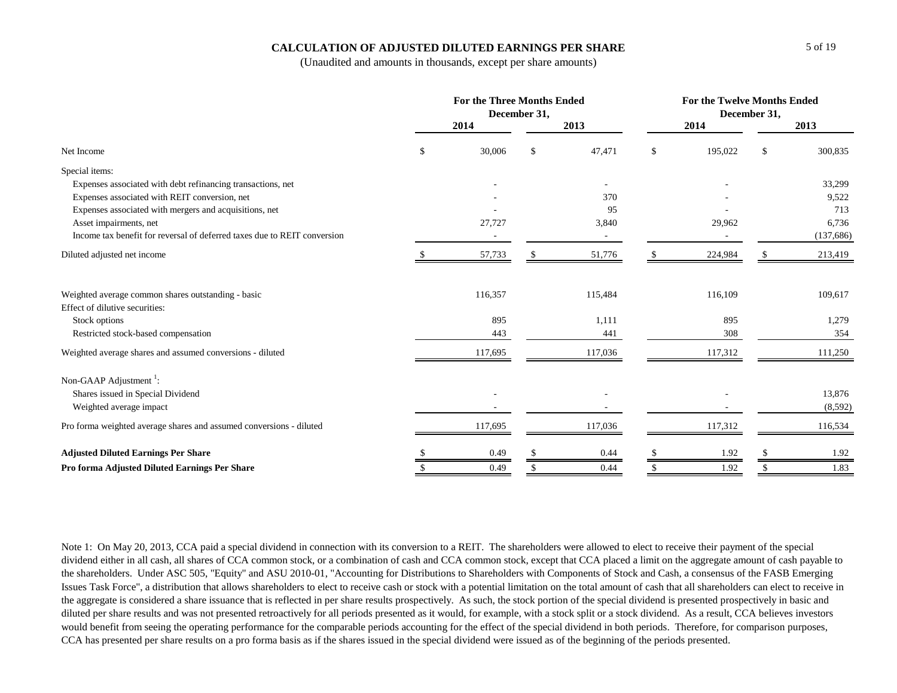#### **CALCULATION OF ADJUSTED DILUTED EARNINGS PER SHARE**

(Unaudited and amounts in thousands, except per share amounts)

|                                                                          | <b>For the Three Months Ended</b><br>December 31, |         |               |         |              | <b>For the Twelve Months Ended</b><br>December 31, |    |            |  |  |  |
|--------------------------------------------------------------------------|---------------------------------------------------|---------|---------------|---------|--------------|----------------------------------------------------|----|------------|--|--|--|
|                                                                          |                                                   | 2014    |               | 2013    |              | 2014                                               |    | 2013       |  |  |  |
| Net Income                                                               | \$                                                | 30,006  | <sup>\$</sup> | 47,471  | $\mathbb{S}$ | 195,022                                            | \$ | 300,835    |  |  |  |
| Special items:                                                           |                                                   |         |               |         |              |                                                    |    |            |  |  |  |
| Expenses associated with debt refinancing transactions, net              |                                                   |         |               |         |              |                                                    |    | 33,299     |  |  |  |
| Expenses associated with REIT conversion, net                            |                                                   |         |               | 370     |              |                                                    |    | 9,522      |  |  |  |
| Expenses associated with mergers and acquisitions, net                   |                                                   |         |               | 95      |              |                                                    |    | 713        |  |  |  |
| Asset impairments, net                                                   |                                                   | 27,727  |               | 3,840   |              | 29,962                                             |    | 6,736      |  |  |  |
| Income tax benefit for reversal of deferred taxes due to REIT conversion |                                                   |         |               | $\sim$  |              |                                                    |    | (137, 686) |  |  |  |
| Diluted adjusted net income                                              |                                                   | 57,733  |               | 51,776  |              | 224,984                                            |    | 213,419    |  |  |  |
| Weighted average common shares outstanding - basic                       |                                                   | 116,357 |               | 115,484 |              | 116,109                                            |    | 109,617    |  |  |  |
| Effect of dilutive securities:                                           |                                                   |         |               |         |              |                                                    |    |            |  |  |  |
| Stock options                                                            |                                                   | 895     |               | 1,111   |              | 895                                                |    | 1,279      |  |  |  |
| Restricted stock-based compensation                                      |                                                   | 443     |               | 441     |              | 308                                                |    | 354        |  |  |  |
| Weighted average shares and assumed conversions - diluted                |                                                   | 117,695 |               | 117,036 |              | 117,312                                            |    | 111,250    |  |  |  |
| Non-GAAP Adjustment <sup>1</sup> :                                       |                                                   |         |               |         |              |                                                    |    |            |  |  |  |
| Shares issued in Special Dividend                                        |                                                   |         |               |         |              |                                                    |    | 13,876     |  |  |  |
| Weighted average impact                                                  |                                                   |         |               |         |              |                                                    |    | (8,592)    |  |  |  |
| Pro forma weighted average shares and assumed conversions - diluted      |                                                   | 117,695 |               | 117,036 |              | 117,312                                            |    | 116,534    |  |  |  |
| <b>Adjusted Diluted Earnings Per Share</b>                               |                                                   | 0.49    |               | 0.44    |              | 1.92                                               |    | 1.92       |  |  |  |
| Pro forma Adjusted Diluted Earnings Per Share                            |                                                   | 0.49    |               | 0.44    | \$.          | 1.92                                               |    | 1.83       |  |  |  |

Note 1: On May 20, 2013, CCA paid a special dividend in connection with its conversion to a REIT. The shareholders were allowed to elect to receive their payment of the special dividend either in all cash, all shares of CCA common stock, or a combination of cash and CCA common stock, except that CCA placed a limit on the aggregate amount of cash payable to the shareholders. Under ASC 505, "Equity" and ASU 2010-01, "Accounting for Distributions to Shareholders with Components of Stock and Cash, a consensus of the FASB Emerging Issues Task Force", a distribution that allows shareholders to elect to receive cash or stock with a potential limitation on the total amount of cash that all shareholders can elect to receive in the aggregate is considered a share issuance that is reflected in per share results prospectively. As such, the stock portion of the special dividend is presented prospectively in basic and diluted per share results and was not presented retroactively for all periods presented as it would, for example, with a stock split or a stock dividend. As a result, CCA believes investors would benefit from seeing the operating performance for the comparable periods accounting for the effect of the special dividend in both periods. Therefore, for comparison purposes, CCA has presented per share results on a pro forma basis as if the shares issued in the special dividend were issued as of the beginning of the periods presented.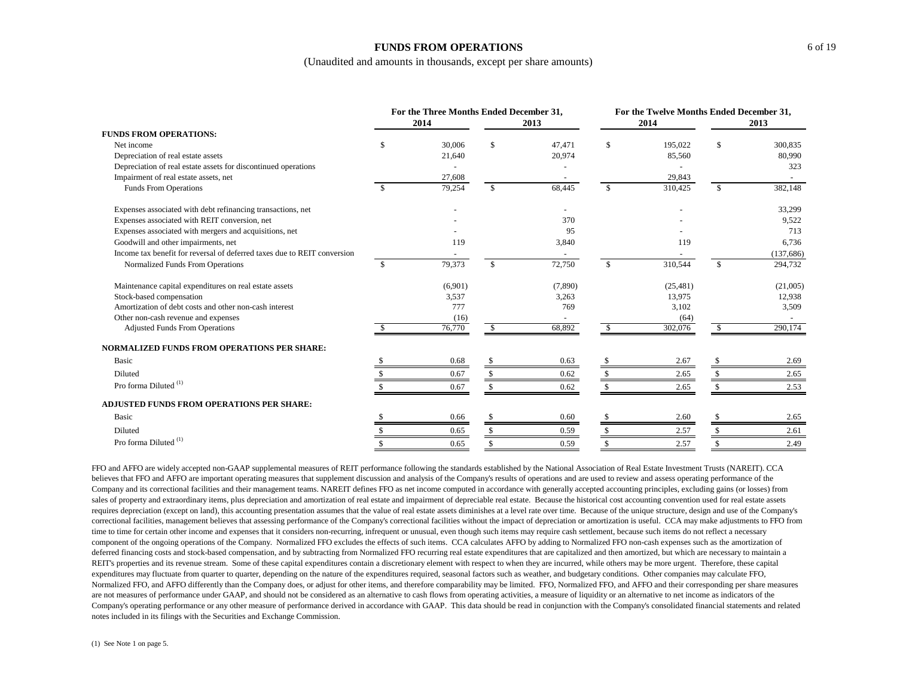#### **FUNDS FROM OPERATIONS**

(Unaudited and amounts in thousands, except per share amounts)

|                                                                          |               | For the Three Months Ended December 31,<br>2014 |              | 2013    |              | For the Twelve Months Ended December 31,<br>2014 |              | 2013      |
|--------------------------------------------------------------------------|---------------|-------------------------------------------------|--------------|---------|--------------|--------------------------------------------------|--------------|-----------|
| <b>FUNDS FROM OPERATIONS:</b>                                            |               |                                                 |              |         |              |                                                  |              |           |
| Net income                                                               | \$.           | 30,006                                          | \$           | 47,471  | -S           | 195,022                                          | \$           | 300,835   |
| Depreciation of real estate assets                                       |               | 21,640                                          |              | 20,974  |              | 85,560                                           |              | 80,990    |
| Depreciation of real estate assets for discontinued operations           |               |                                                 |              |         |              |                                                  |              | 323       |
| Impairment of real estate assets, net                                    |               | 27,608                                          |              |         |              | 29,843                                           |              |           |
| Funds From Operations                                                    | <sup>\$</sup> | 79,254                                          | \$           | 68,445  | $\mathbb{S}$ | 310,425                                          | \$           | 382,148   |
| Expenses associated with debt refinancing transactions, net              |               |                                                 |              |         |              |                                                  |              | 33,299    |
| Expenses associated with REIT conversion, net                            |               |                                                 |              | 370     |              |                                                  |              | 9,522     |
| Expenses associated with mergers and acquisitions, net                   |               |                                                 |              | 95      |              |                                                  |              | 713       |
| Goodwill and other impairments, net                                      |               | 119                                             |              | 3,840   |              | 119                                              |              | 6,736     |
| Income tax benefit for reversal of deferred taxes due to REIT conversion |               |                                                 |              |         |              |                                                  |              | (137,686) |
| Normalized Funds From Operations                                         | -\$           | 79,373                                          | $\mathbb{S}$ | 72,750  | $\mathbb{S}$ | 310,544                                          | $\mathbb{S}$ | 294,732   |
| Maintenance capital expenditures on real estate assets                   |               | (6,901)                                         |              | (7,890) |              | (25, 481)                                        |              | (21,005)  |
| Stock-based compensation                                                 |               | 3,537                                           |              | 3,263   |              | 13,975                                           |              | 12,938    |
| Amortization of debt costs and other non-cash interest                   |               | 777                                             |              | 769     |              | 3,102                                            |              | 3,509     |
| Other non-cash revenue and expenses                                      |               | (16)                                            |              |         |              | (64)                                             |              |           |
| <b>Adjusted Funds From Operations</b>                                    |               | 76,770                                          | \$           | 68,892  | \$           | 302,076                                          | \$           | 290,174   |
| <b>NORMALIZED FUNDS FROM OPERATIONS PER SHARE:</b>                       |               |                                                 |              |         |              |                                                  |              |           |
| <b>Basic</b>                                                             |               | 0.68                                            |              | 0.63    |              | 2.67                                             |              | 2.69      |
| Diluted                                                                  |               | 0.67                                            |              | 0.62    | \$           | 2.65                                             |              | 2.65      |
| Pro forma Diluted <sup>(1)</sup>                                         |               | 0.67                                            |              | 0.62    |              | 2.65                                             |              | 2.53      |
| <b>ADJUSTED FUNDS FROM OPERATIONS PER SHARE:</b>                         |               |                                                 |              |         |              |                                                  |              |           |
| Basic                                                                    |               | 0.66                                            |              | 0.60    |              | 2.60                                             |              | 2.65      |
| Diluted                                                                  |               | 0.65                                            | \$.          | 0.59    |              | 2.57                                             |              | 2.61      |
| Pro forma Diluted <sup>(1)</sup>                                         |               | 0.65                                            |              | 0.59    |              | 2.57                                             |              | 2.49      |

FFO and AFFO are widely accepted non-GAAP supplemental measures of REIT performance following the standards established by the National Association of Real Estate Investment Trusts (NAREIT). CCA believes that FFO and AFFO are important operating measures that supplement discussion and analysis of the Company's results of operations and are used to review and assess operating performance of the Company and its correctional facilities and their management teams. NAREIT defines FFO as net income computed in accordance with generally accepted accounting principles, excluding gains (or losses) from sales of property and extraordinary items, plus depreciation and amortization of real estate and impairment of depreciable real estate. Because the historical cost accounting convention used for real estate assets requires depreciation (except on land), this accounting presentation assumes that the value of real estate assets diminishes at a level rate over time. Because of the unique structure, design and use of the Company's correctional facilities, management believes that assessing performance of the Company's correctional facilities without the impact of depreciation or amortization is useful. CCA may make adjustments to FFO from time to time for certain other income and expenses that it considers non-recurring, infrequent or unusual, even though such items may require cash settlement, because such items do not reflect a necessary component of the ongoing operations of the Company. Normalized FFO excludes the effects of such items. CCA calculates AFFO by adding to Normalized FFO non-cash expenses such as the amortization of deferred financing costs and stock-based compensation, and by subtracting from Normalized FFO recurring real estate expenditures that are capitalized and then amortized, but which are necessary to maintain a REIT's properties and its revenue stream. Some of these capital expenditures contain a discretionary element with respect to when they are incurred, while others may be more urgent. Therefore, these capital expenditures may fluctuate from quarter to quarter, depending on the nature of the expenditures required, seasonal factors such as weather, and budgetary conditions. Other companies may calculate FFO, Normalized FFO, and AFFO differently than the Company does, or adjust for other items, and therefore comparability may be limited. FFO, Normalized FFO, and AFFO and their corresponding per share measures are not measures of performance under GAAP, and should not be considered as an alternative to cash flows from operating activities, a measure of liquidity or an alternative to net income as indicators of the Company's operating performance or any other measure of performance derived in accordance with GAAP. This data should be read in conjunction with the Company's consolidated financial statements and related notes included in its filings with the Securities and Exchange Commission.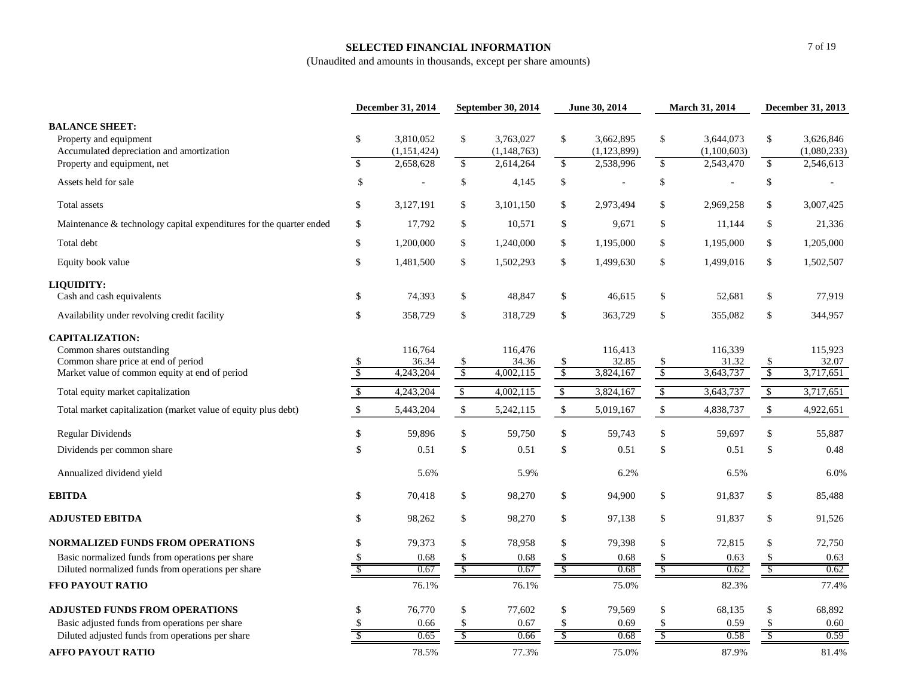### **SELECTED FINANCIAL INFORMATION**

|                                                                                                                                              | December 31, 2014             |                                       | September 30, 2014      |                                         | June 30, 2014       |                                         | March 31, 2014                |                                       | December 31, 2013          |                                       |
|----------------------------------------------------------------------------------------------------------------------------------------------|-------------------------------|---------------------------------------|-------------------------|-----------------------------------------|---------------------|-----------------------------------------|-------------------------------|---------------------------------------|----------------------------|---------------------------------------|
| <b>BALANCE SHEET:</b><br>Property and equipment<br>Accumulated depreciation and amortization<br>Property and equipment, net                  | \$<br>$\sqrt$                 | 3,810,052<br>(1,151,424)<br>2,658,628 | \$<br>$\mathcal{S}$     | 3,763,027<br>(1, 148, 763)<br>2,614,264 | \$<br>$\mathcal{S}$ | 3,662,895<br>(1, 123, 899)<br>2,538,996 | $\frac{1}{2}$<br>\$           | 3,644,073<br>(1,100,603)<br>2,543,470 | \$<br>$\mathcal{S}$        | 3,626,846<br>(1,080,233)<br>2,546,613 |
| Assets held for sale                                                                                                                         | $\mathbb{S}$                  | $\blacksquare$                        | \$                      | 4,145                                   | \$                  | $\overline{a}$                          | \$                            | L,                                    | \$                         |                                       |
| Total assets                                                                                                                                 | \$                            | 3,127,191                             | \$                      | 3,101,150                               | \$                  | 2,973,494                               | \$                            | 2,969,258                             | \$                         | 3,007,425                             |
| Maintenance & technology capital expenditures for the quarter ended                                                                          | \$                            | 17,792                                | \$                      | 10,571                                  | \$                  | 9,671                                   | \$                            | 11,144                                | \$                         | 21,336                                |
| Total debt                                                                                                                                   | \$                            | 1,200,000                             | \$                      | 1,240,000                               | \$                  | 1,195,000                               | \$                            | 1,195,000                             | \$                         | 1,205,000                             |
| Equity book value                                                                                                                            | \$                            | 1,481,500                             | \$                      | 1,502,293                               | \$                  | 1,499,630                               | \$                            | 1,499,016                             | \$                         | 1,502,507                             |
| LIQUIDITY:                                                                                                                                   |                               |                                       |                         |                                         |                     |                                         |                               |                                       |                            |                                       |
| Cash and cash equivalents                                                                                                                    | \$                            | 74,393                                | \$                      | 48,847                                  | \$                  | 46,615                                  | \$                            | 52,681                                | \$                         | 77,919                                |
| Availability under revolving credit facility                                                                                                 | \$                            | 358,729                               | $\mathbb{S}$            | 318,729                                 | \$                  | 363,729                                 | \$                            | 355,082                               | \$                         | 344,957                               |
| <b>CAPITALIZATION:</b><br>Common shares outstanding<br>Common share price at end of period<br>Market value of common equity at end of period | \$<br>$\sqrt{\frac{2}{5}}$    | 116,764<br>36.34<br>4,243,204         | \$<br>$\sqrt{2}$        | 116,476<br>34.36<br>4,002,115           | $\frac{\$}{\$}$     | 116,413<br>32.85<br>3,824,167           | $\mathcal{S}$                 | 116,339<br>31.32<br>3,643,737         | \$<br>$\sqrt{\frac{2}{5}}$ | 115,923<br>32.07<br>3,717,651         |
| Total equity market capitalization                                                                                                           | $\mathbb{S}$                  | 4,243,204                             | $\sqrt{2}$              | 4,002,115                               | $\mathbb{S}$        | 3,824,167                               | $\sqrt[6]{\frac{1}{2}}$       | 3,643,737                             | $\sqrt[6]{\frac{1}{2}}$    | 3,717,651                             |
| Total market capitalization (market value of equity plus debt)                                                                               | $\mathbb{S}$                  | 5,443,204                             | $\mathcal{S}$           | 5,242,115                               | $\mathcal{S}$       | 5,019,167                               | $\boldsymbol{\mathsf{S}}$     | 4,838,737                             | $\mathcal{S}$              | 4,922,651                             |
| <b>Regular Dividends</b>                                                                                                                     | \$                            | 59,896                                | \$                      | 59,750                                  | \$                  | 59,743                                  | \$                            | 59,697                                | \$                         | 55,887                                |
| Dividends per common share                                                                                                                   | $\mathcal{S}$                 | 0.51                                  | \$                      | 0.51                                    | $\$$                | 0.51                                    | $\mathbb{S}$                  | 0.51                                  | $\mathcal{S}$              | 0.48                                  |
| Annualized dividend yield                                                                                                                    |                               | 5.6%                                  |                         | 5.9%                                    |                     | 6.2%                                    |                               | 6.5%                                  |                            | 6.0%                                  |
| <b>EBITDA</b>                                                                                                                                | \$                            | 70,418                                | \$                      | 98,270                                  | \$                  | 94,900                                  | \$                            | 91,837                                | \$                         | 85,488                                |
| <b>ADJUSTED EBITDA</b>                                                                                                                       | \$                            | 98,262                                | \$                      | 98,270                                  | \$                  | 97,138                                  | \$                            | 91,837                                | \$                         | 91,526                                |
| <b>NORMALIZED FUNDS FROM OPERATIONS</b>                                                                                                      | \$                            | 79,373                                | \$                      | 78,958                                  | \$                  | 79,398                                  | \$                            | 72,815                                | \$                         | 72,750                                |
| Basic normalized funds from operations per share                                                                                             | S<br>$\overline{\mathcal{S}}$ | 0.68                                  | \$                      | 0.68                                    | $\frac{\$}{\$}$     | 0.68                                    | $\frac{\$}{\$}$               | 0.63                                  | $\frac{\$}{\$}$            | 0.63                                  |
| Diluted normalized funds from operations per share<br>FFO PAYOUT RATIO                                                                       |                               | 0.67<br>76.1%                         | $\sqrt[6]{\frac{1}{2}}$ | 0.67<br>76.1%                           |                     | 0.68<br>75.0%                           |                               | 0.62<br>82.3%                         |                            | 0.62<br>77.4%                         |
|                                                                                                                                              |                               |                                       |                         |                                         |                     |                                         |                               |                                       |                            |                                       |
| <b>ADJUSTED FUNDS FROM OPERATIONS</b>                                                                                                        | \$                            | 76,770                                | \$                      | 77,602                                  | \$                  | 79,569                                  | \$                            | 68,135                                | \$                         | 68,892                                |
| Basic adjusted funds from operations per share                                                                                               | \$                            | 0.66                                  |                         | 0.67                                    | \$                  | 0.69                                    | \$<br>$\sqrt[6]{\frac{1}{2}}$ | 0.59                                  | $\sqrt{\ }$                | 0.60                                  |
| Diluted adjusted funds from operations per share                                                                                             |                               | 0.65                                  | \$                      | 0.66                                    |                     | 0.68                                    |                               | 0.58                                  |                            | 0.59                                  |
| <b>AFFO PAYOUT RATIO</b>                                                                                                                     |                               | 78.5%                                 |                         | 77.3%                                   |                     | 75.0%                                   |                               | 87.9%                                 |                            | 81.4%                                 |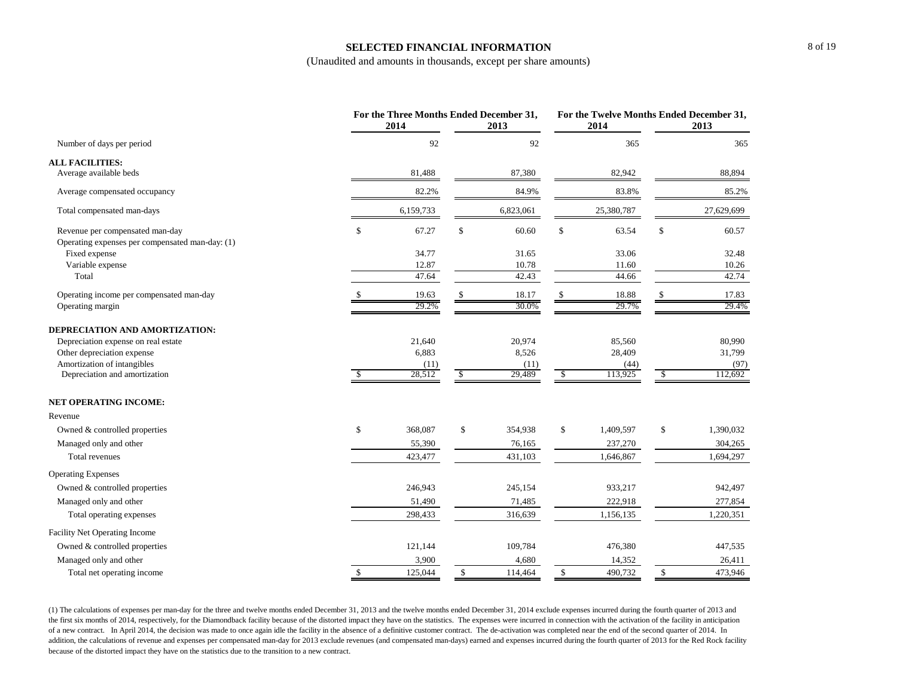#### **SELECTED FINANCIAL INFORMATION**

(Unaudited and amounts in thousands, except per share amounts)

|                                                                                    | For the Three Months Ended December 31,<br>2014 | 2013          |              | For the Twelve Months Ended December 31,<br>2014 |    | 2013       |
|------------------------------------------------------------------------------------|-------------------------------------------------|---------------|--------------|--------------------------------------------------|----|------------|
| Number of days per period                                                          | 92                                              | 92            |              | 365                                              |    | 365        |
| <b>ALL FACILITIES:</b>                                                             |                                                 |               |              |                                                  |    |            |
| Average available beds                                                             | 81,488                                          | 87,380        |              | 82,942                                           |    | 88,894     |
| Average compensated occupancy                                                      | 82.2%                                           | 84.9%         |              | 83.8%                                            |    | 85.2%      |
| Total compensated man-days                                                         | 6,159,733                                       | 6,823,061     |              | 25,380,787                                       |    | 27,629,699 |
| Revenue per compensated man-day<br>Operating expenses per compensated man-day: (1) | \$<br>67.27                                     | \$<br>60.60   | \$           | 63.54                                            | \$ | 60.57      |
| Fixed expense                                                                      | 34.77                                           | 31.65         |              | 33.06                                            |    | 32.48      |
| Variable expense                                                                   | 12.87                                           | 10.78         |              | 11.60                                            |    | 10.26      |
| Total                                                                              | 47.64                                           | 42.43         |              | 44.66                                            |    | 42.74      |
| Operating income per compensated man-day                                           | 19.63                                           | 18.17         | \$           | 18.88                                            | S  | 17.83      |
| Operating margin                                                                   | 29.2%                                           | 30.0%         |              | 29.7%                                            |    | 29.4%      |
| DEPRECIATION AND AMORTIZATION:                                                     |                                                 |               |              |                                                  |    |            |
| Depreciation expense on real estate                                                | 21,640                                          | 20,974        |              | 85,560                                           |    | 80,990     |
| Other depreciation expense                                                         | 6,883                                           | 8,526         |              | 28,409                                           |    | 31,799     |
| Amortization of intangibles                                                        | (11)                                            | (11)          |              | (44)                                             |    | (97)       |
| Depreciation and amortization                                                      | \$<br>28,512                                    | \$<br>29,489  | $\mathbb{S}$ | 113,925                                          | \$ | 112,692    |
| <b>NET OPERATING INCOME:</b>                                                       |                                                 |               |              |                                                  |    |            |
| Revenue                                                                            |                                                 |               |              |                                                  |    |            |
| Owned & controlled properties                                                      | \$<br>368,087                                   | \$<br>354,938 | \$           | 1,409,597                                        | \$ | 1,390,032  |
| Managed only and other                                                             | 55,390                                          | 76,165        |              | 237,270                                          |    | 304,265    |
| Total revenues                                                                     | 423,477                                         | 431,103       |              | 1,646,867                                        |    | 1,694,297  |
| <b>Operating Expenses</b>                                                          |                                                 |               |              |                                                  |    |            |
| Owned & controlled properties                                                      | 246,943                                         | 245,154       |              | 933,217                                          |    | 942,497    |
| Managed only and other                                                             | 51,490                                          | 71,485        |              | 222,918                                          |    | 277,854    |
| Total operating expenses                                                           | 298,433                                         | 316,639       |              | 1,156,135                                        |    | 1,220,351  |
| Facility Net Operating Income                                                      |                                                 |               |              |                                                  |    |            |
| Owned & controlled properties                                                      | 121,144                                         | 109,784       |              | 476,380                                          |    | 447,535    |
| Managed only and other                                                             | 3,900                                           | 4,680         |              | 14,352                                           |    | 26,411     |
| Total net operating income                                                         | \$<br>125,044                                   | \$<br>114,464 | \$           | 490,732                                          | \$ | 473,946    |

(1) The calculations of expenses per man-day for the three and twelve months ended December 31, 2013 and the twelve months ended December 31, 2014 exclude expenses incurred during the fourth quarter of 2013 and the first six months of 2014, respectively, for the Diamondback facility because of the distorted impact they have on the statistics. The expenses were incurred in connection with the activation of the facility in anticipa of a new contract. In April 2014, the decision was made to once again idle the facility in the absence of a definitive customer contract. The de-activation was completed near the end of the second quarter of 2014. In addition, the calculations of revenue and expenses per compensated man-day for 2013 exclude revenues (and compensated man-days) earned and expenses incurred during the fourth quarter of 2013 for the Red Rock facility because of the distorted impact they have on the statistics due to the transition to a new contract.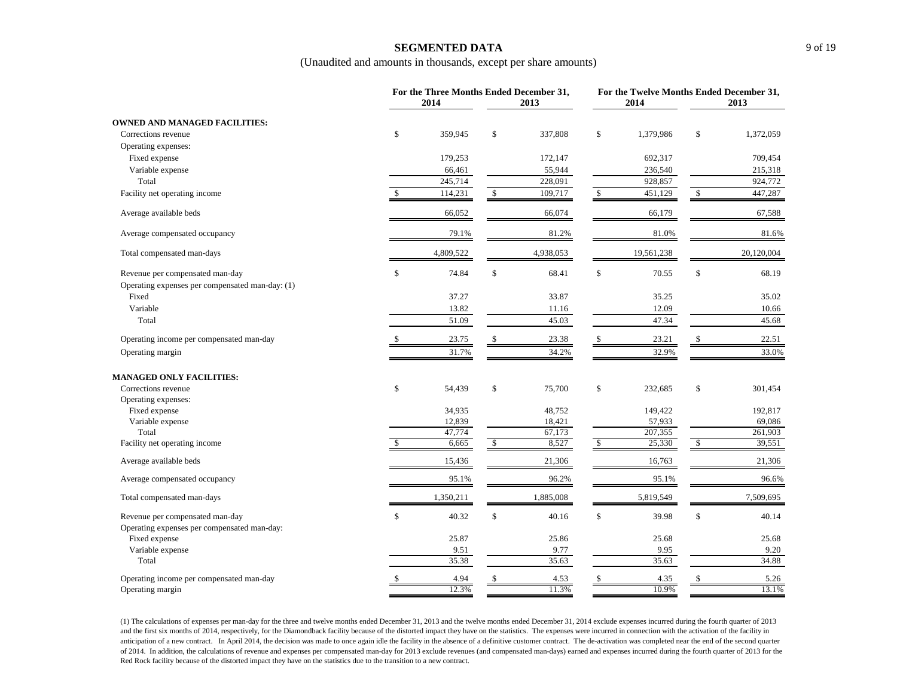#### **SEGMENTED DATA**

(Unaudited and amounts in thousands, except per share amounts)

|                                                                                    | For the Three Months Ended December 31,<br>2014 |            | 2013      |               | 2014       | For the Twelve Months Ended December 31,<br>2013 |            |  |
|------------------------------------------------------------------------------------|-------------------------------------------------|------------|-----------|---------------|------------|--------------------------------------------------|------------|--|
| <b>OWNED AND MANAGED FACILITIES:</b>                                               |                                                 |            |           |               |            |                                                  |            |  |
| Corrections revenue                                                                | \$<br>359,945                                   | \$         | 337,808   | \$            | 1,379,986  | \$                                               | 1,372,059  |  |
| Operating expenses:                                                                |                                                 |            |           |               |            |                                                  |            |  |
| Fixed expense                                                                      | 179,253                                         |            | 172,147   |               | 692,317    |                                                  | 709,454    |  |
| Variable expense                                                                   | 66,461                                          |            | 55,944    |               | 236,540    |                                                  | 215,318    |  |
| Total                                                                              | 245,714                                         |            | 228,091   |               | 928,857    |                                                  | 924,772    |  |
| Facility net operating income                                                      | 114,231                                         | \$         | 109,717   | S             | 451,129    | \$                                               | 447,287    |  |
| Average available beds                                                             | 66,052                                          |            | 66,074    |               | 66,179     |                                                  | 67,588     |  |
| Average compensated occupancy                                                      | 79.1%                                           |            | 81.2%     |               | 81.0%      |                                                  | 81.6%      |  |
| Total compensated man-days                                                         | 4,809,522                                       |            | 4,938,053 |               | 19,561,238 |                                                  | 20,120,004 |  |
| Revenue per compensated man-day<br>Operating expenses per compensated man-day: (1) | \$<br>74.84                                     | \$         | 68.41     | \$            | 70.55      | \$                                               | 68.19      |  |
| Fixed                                                                              | 37.27                                           |            | 33.87     |               | 35.25      |                                                  | 35.02      |  |
| Variable                                                                           | 13.82                                           |            | 11.16     |               | 12.09      |                                                  | 10.66      |  |
| Total                                                                              | 51.09                                           |            | 45.03     |               | 47.34      |                                                  | 45.68      |  |
| Operating income per compensated man-day                                           | \$<br>23.75                                     | \$         | 23.38     |               | 23.21      | \$                                               | 22.51      |  |
| Operating margin                                                                   | 31.7%                                           |            | 34.2%     |               | 32.9%      |                                                  | 33.0%      |  |
| <b>MANAGED ONLY FACILITIES:</b>                                                    |                                                 |            |           |               |            |                                                  |            |  |
| Corrections revenue                                                                | \$<br>54,439                                    | \$         | 75,700    | \$            | 232,685    | \$                                               | 301,454    |  |
| Operating expenses:                                                                |                                                 |            |           |               |            |                                                  |            |  |
| Fixed expense                                                                      | 34,935                                          |            | 48,752    |               | 149,422    |                                                  | 192,817    |  |
| Variable expense                                                                   | 12,839                                          |            | 18,421    |               | 57,933     |                                                  | 69,086     |  |
| Total                                                                              | 47,774                                          |            | 67,173    |               | 207,355    |                                                  | 261,903    |  |
| Facility net operating income                                                      | \$<br>6,665                                     | $\sqrt{3}$ | 8,527     | <sup>\$</sup> | 25,330     | \$                                               | 39,551     |  |
| Average available beds                                                             | 15,436                                          |            | 21,306    |               | 16,763     |                                                  | 21,306     |  |
| Average compensated occupancy                                                      | 95.1%                                           |            | 96.2%     |               | 95.1%      |                                                  | 96.6%      |  |
| Total compensated man-days                                                         | 1,350,211                                       |            | 1,885,008 |               | 5,819,549  |                                                  | 7,509,695  |  |
| Revenue per compensated man-day<br>Operating expenses per compensated man-day:     | \$<br>40.32                                     | \$         | 40.16     | \$            | 39.98      | \$                                               | 40.14      |  |
| Fixed expense                                                                      | 25.87                                           |            | 25.86     |               | 25.68      |                                                  | 25.68      |  |
| Variable expense                                                                   | 9.51                                            |            | 9.77      |               | 9.95       |                                                  | 9.20       |  |
| Total                                                                              | 35.38                                           |            | 35.63     |               | 35.63      |                                                  | 34.88      |  |
| Operating income per compensated man-day                                           | \$<br>4.94                                      | \$         | 4.53      | \$.           | 4.35       | \$                                               | 5.26       |  |
| Operating margin                                                                   | 12.3%                                           |            | 11.3%     |               | 10.9%      |                                                  | 13.1%      |  |

(1) The calculations of expenses per man-day for the three and twelve months ended December 31, 2013 and the twelve months ended December 31, 2014 exclude expenses incurred during the fourth quarter of 2013 and the first six months of 2014, respectively, for the Diamondback facility because of the distorted impact they have on the statistics. The expenses were incurred in connection with the activation of the facility in anticipation of a new contract. In April 2014, the decision was made to once again idle the facility in the absence of a definitive customer contract. The de-activation was completed near the end of the second quarter of 2014. In addition, the calculations of revenue and expenses per compensated man-day for 2013 exclude revenues (and compensated man-days) earned and expenses incurred during the fourth quarter of 2013 for the Red Rock facility because of the distorted impact they have on the statistics due to the transition to a new contract.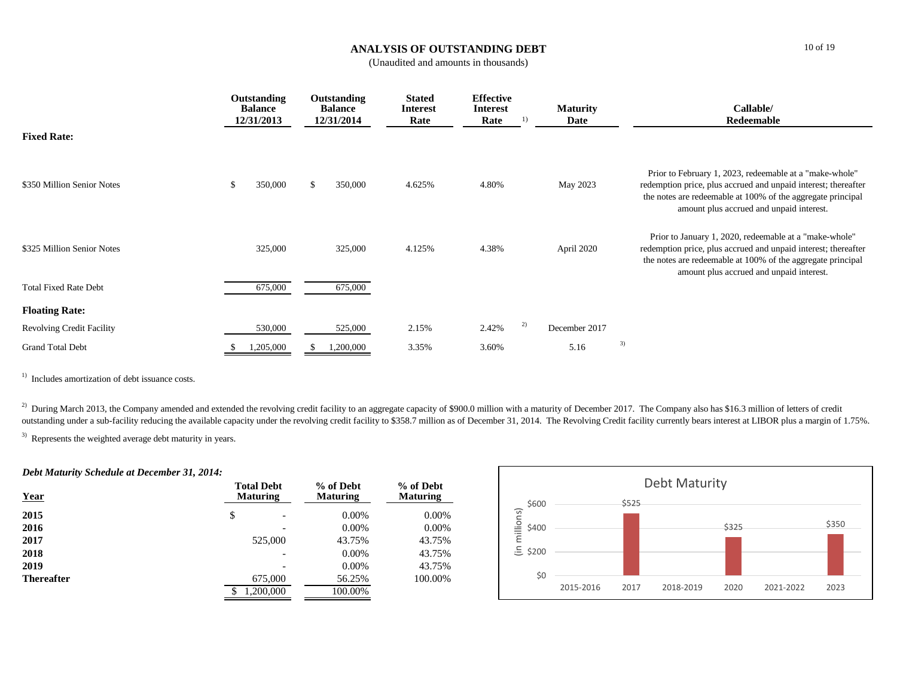### **ANALYSIS OF OUTSTANDING DEBT**

(Unaudited and amounts in thousands)

|                                  |    | Outstanding<br><b>Balance</b><br>12/31/2013 |               | Outstanding<br><b>Balance</b><br>12/31/2014 | <b>Stated</b><br>Interest<br>Rate | <b>Effective</b><br>Interest<br>Rate |    | <b>Maturity</b><br>Date |    | Callable/<br>Redeemable                                                                                                                                                                                                              |
|----------------------------------|----|---------------------------------------------|---------------|---------------------------------------------|-----------------------------------|--------------------------------------|----|-------------------------|----|--------------------------------------------------------------------------------------------------------------------------------------------------------------------------------------------------------------------------------------|
| <b>Fixed Rate:</b>               |    |                                             |               |                                             |                                   |                                      |    |                         |    |                                                                                                                                                                                                                                      |
| \$350 Million Senior Notes       | -S | 350,000                                     | $\mathcal{S}$ | 350,000                                     | 4.625%                            | 4.80%                                |    | May 2023                |    | Prior to February 1, 2023, redeemable at a "make-whole"<br>redemption price, plus accrued and unpaid interest; thereafter<br>the notes are redeemable at 100% of the aggregate principal<br>amount plus accrued and unpaid interest. |
| \$325 Million Senior Notes       |    | 325,000                                     |               | 325,000                                     | 4.125%                            | 4.38%                                |    | April 2020              |    | Prior to January 1, 2020, redeemable at a "make-whole"<br>redemption price, plus accrued and unpaid interest; thereafter<br>the notes are redeemable at 100% of the aggregate principal<br>amount plus accrued and unpaid interest.  |
| <b>Total Fixed Rate Debt</b>     |    | 675,000                                     |               | 675,000                                     |                                   |                                      |    |                         |    |                                                                                                                                                                                                                                      |
| <b>Floating Rate:</b>            |    |                                             |               |                                             |                                   |                                      |    |                         |    |                                                                                                                                                                                                                                      |
| <b>Revolving Credit Facility</b> |    | 530,000                                     |               | 525,000                                     | 2.15%                             | 2.42%                                | 2) | December 2017           |    |                                                                                                                                                                                                                                      |
| <b>Grand Total Debt</b>          |    | 1,205,000                                   |               | 1,200,000                                   | 3.35%                             | 3.60%                                |    | 5.16                    | 3) |                                                                                                                                                                                                                                      |

<sup>1)</sup> Includes amortization of debt issuance costs.

<sup>2)</sup> During March 2013, the Company amended and extended the revolving credit facility to an aggregate capacity of \$900.0 million with a maturity of December 2017. The Company also has \$16.3 million of letters of credit outstanding under a sub-facility reducing the available capacity under the revolving credit facility to \$358.7 million as of December 31, 2014. The Revolving Credit facility currently bears interest at LIBOR plus a margin

<sup>3)</sup> Represents the weighted average debt maturity in years.

#### *Debt Maturity Schedule at December 31, 2014:*

| <b>Year</b>       | <b>Total Debt</b><br><b>Maturing</b> | % of Debt<br><b>Maturing</b> | % of Debt<br><b>Maturing</b> |  |
|-------------------|--------------------------------------|------------------------------|------------------------------|--|
| 2015              | \$                                   | $0.00\%$                     | 0.00%                        |  |
| 2016              |                                      | $0.00\%$                     | $0.00\%$                     |  |
| 2017              | 525,000                              | 43.75%                       | 43.75%                       |  |
| 2018              |                                      | $0.00\%$                     | 43.75%                       |  |
| 2019              |                                      | $0.00\%$                     | 43.75%                       |  |
| <b>Thereafter</b> | 675,000                              | 56.25%                       | 100.00%                      |  |
|                   | ,200,000<br>\$                       | 100.00%                      |                              |  |

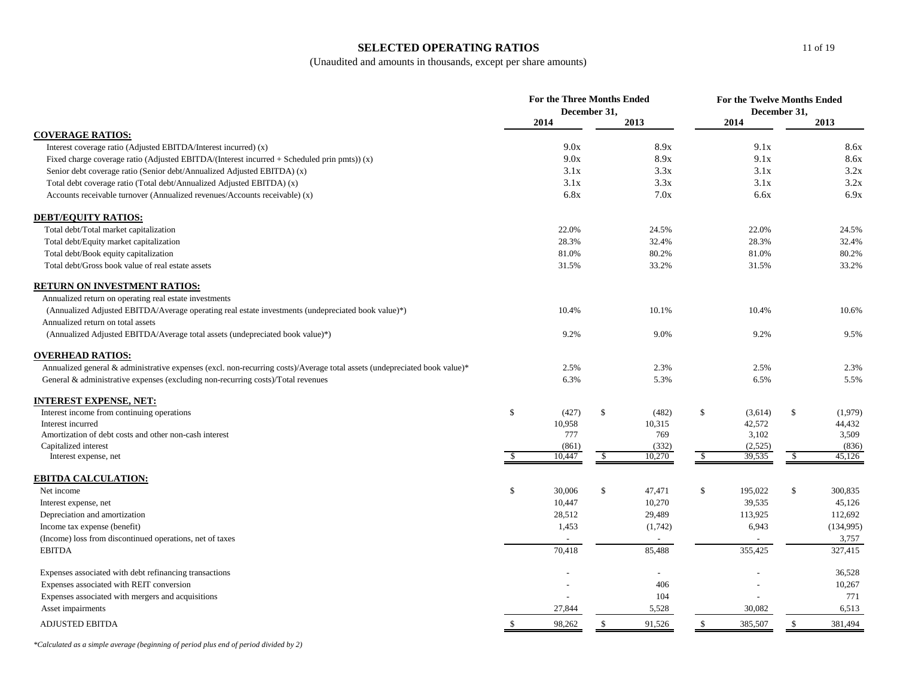### **SELECTED OPERATING RATIOS**

(Unaudited and amounts in thousands, except per share amounts)

|                                                                                                                           | For the Three Months Ended<br>December 31, |        |               |         | For the Twelve Months Ended<br>December 31, |         |              |           |
|---------------------------------------------------------------------------------------------------------------------------|--------------------------------------------|--------|---------------|---------|---------------------------------------------|---------|--------------|-----------|
|                                                                                                                           |                                            | 2014   |               | 2013    |                                             | 2014    |              | 2013      |
| <b>COVERAGE RATIOS:</b>                                                                                                   |                                            |        |               |         |                                             |         |              |           |
| Interest coverage ratio (Adjusted EBITDA/Interest incurred) (x)                                                           |                                            | 9.0x   |               | 8.9x    |                                             | 9.1x    |              | 8.6x      |
| Fixed charge coverage ratio (Adjusted EBITDA/(Interest incurred $+$ Scheduled prin pmts)) (x)                             |                                            | 9.0x   |               | 8.9x    |                                             | 9.1x    |              | 8.6x      |
| Senior debt coverage ratio (Senior debt/Annualized Adjusted EBITDA) (x)                                                   |                                            | 3.1x   |               | 3.3x    |                                             | 3.1x    |              | 3.2x      |
| Total debt coverage ratio (Total debt/Annualized Adjusted EBITDA) (x)                                                     |                                            | 3.1x   |               | 3.3x    |                                             | 3.1x    |              | 3.2x      |
| Accounts receivable turnover (Annualized revenues/Accounts receivable) (x)                                                |                                            | 6.8x   |               | 7.0x    |                                             | 6.6x    |              | 6.9x      |
| <b>DEBT/EQUITY RATIOS:</b>                                                                                                |                                            |        |               |         |                                             |         |              |           |
| Total debt/Total market capitalization                                                                                    |                                            | 22.0%  |               | 24.5%   |                                             | 22.0%   |              | 24.5%     |
| Total debt/Equity market capitalization                                                                                   |                                            | 28.3%  |               | 32.4%   |                                             | 28.3%   |              | 32.4%     |
| Total debt/Book equity capitalization                                                                                     |                                            | 81.0%  |               | 80.2%   |                                             | 81.0%   |              | 80.2%     |
| Total debt/Gross book value of real estate assets                                                                         |                                            | 31.5%  |               | 33.2%   |                                             | 31.5%   |              | 33.2%     |
| RETURN ON INVESTMENT RATIOS:                                                                                              |                                            |        |               |         |                                             |         |              |           |
| Annualized return on operating real estate investments                                                                    |                                            |        |               |         |                                             |         |              |           |
| (Annualized Adjusted EBITDA/Average operating real estate investments (undepreciated book value)*)                        |                                            | 10.4%  |               | 10.1%   |                                             | 10.4%   |              | 10.6%     |
| Annualized return on total assets                                                                                         |                                            |        |               |         |                                             |         |              |           |
| (Annualized Adjusted EBITDA/Average total assets (undepreciated book value)*)                                             |                                            | 9.2%   |               | 9.0%    |                                             | 9.2%    |              | 9.5%      |
| <b>OVERHEAD RATIOS:</b>                                                                                                   |                                            |        |               |         |                                             |         |              |           |
| Annualized general & administrative expenses (excl. non-recurring costs)/Average total assets (undepreciated book value)* |                                            | 2.5%   |               | 2.3%    |                                             | 2.5%    |              | 2.3%      |
| General & administrative expenses (excluding non-recurring costs)/Total revenues                                          |                                            | 6.3%   |               | 5.3%    |                                             | 6.5%    |              | 5.5%      |
| <b>INTEREST EXPENSE, NET:</b>                                                                                             |                                            |        |               |         |                                             |         |              |           |
| Interest income from continuing operations                                                                                | \$                                         | (427)  | \$            | (482)   | \$                                          | (3,614) | \$           | (1,979)   |
| Interest incurred                                                                                                         |                                            | 10,958 |               | 10,315  |                                             | 42,572  |              | 44,432    |
| Amortization of debt costs and other non-cash interest                                                                    |                                            | 777    |               | 769     |                                             | 3,102   |              | 3,509     |
| Capitalized interest                                                                                                      |                                            | (861)  |               | (332)   |                                             | (2,525) |              | (836)     |
| Interest expense, net                                                                                                     | <sup>\$</sup>                              | 10,447 | $\sqrt{3}$    | 10,270  | $\sqrt{3}$                                  | 39,535  | $\sqrt{2}$   | 45,126    |
| <b>EBITDA CALCULATION:</b>                                                                                                |                                            |        |               |         |                                             |         |              |           |
| Net income                                                                                                                | \$                                         | 30,006 | $\mathcal{S}$ | 47,471  | \$                                          | 195,022 | $\mathbb{S}$ | 300,835   |
| Interest expense, net                                                                                                     |                                            | 10,447 |               | 10,270  |                                             | 39,535  |              | 45,126    |
| Depreciation and amortization                                                                                             |                                            | 28,512 |               | 29,489  |                                             | 113,925 |              | 112,692   |
| Income tax expense (benefit)                                                                                              |                                            | 1,453  |               | (1,742) |                                             | 6,943   |              | (134,995) |
| (Income) loss from discontinued operations, net of taxes                                                                  |                                            |        |               |         |                                             |         |              | 3,757     |
| <b>EBITDA</b>                                                                                                             |                                            | 70,418 |               | 85,488  |                                             | 355,425 |              | 327,415   |
| Expenses associated with debt refinancing transactions                                                                    |                                            |        |               | $\sim$  |                                             |         |              | 36,528    |
| Expenses associated with REIT conversion                                                                                  |                                            |        |               | 406     |                                             |         |              | 10,267    |
| Expenses associated with mergers and acquisitions                                                                         |                                            |        |               | 104     |                                             |         |              | 771       |
| Asset impairments                                                                                                         |                                            | 27,844 |               | 5,528   |                                             | 30,082  |              | 6,513     |
| <b>ADJUSTED EBITDA</b>                                                                                                    | $\mathbb{S}$                               | 98,262 | $\mathbb{S}$  | 91,526  | $\mathbb{S}$                                | 385,507 | $\mathbb{S}$ | 381,494   |

*\*Calculated as a simple average (beginning of period plus end of period divided by 2)*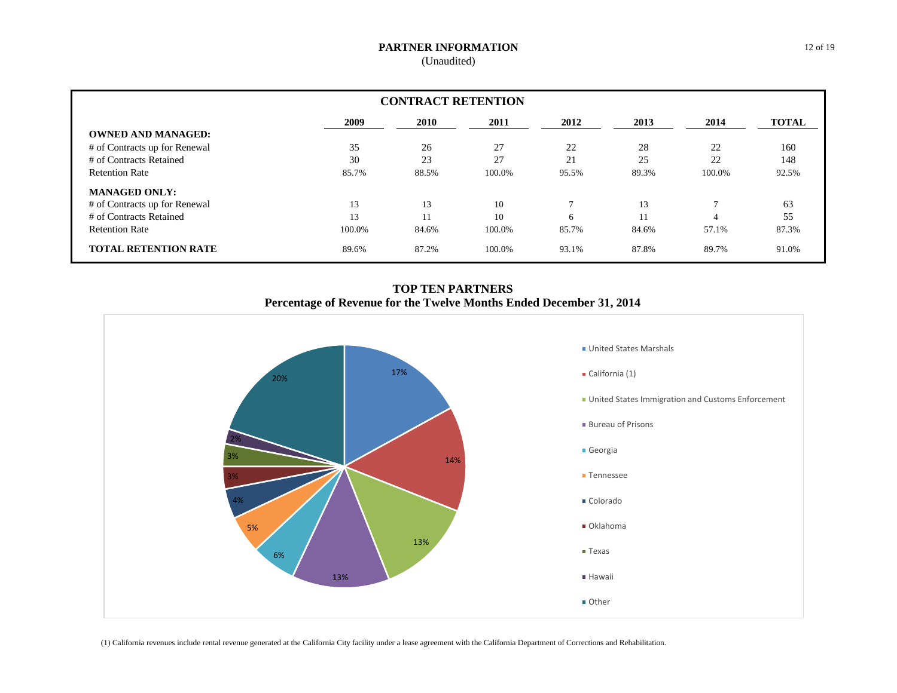### **PARTNER INFORMATION**

(Unaudited)

| <b>CONTRACT RETENTION</b>     |             |       |        |              |       |        |              |  |
|-------------------------------|-------------|-------|--------|--------------|-------|--------|--------------|--|
|                               | <b>2009</b> | 2010  | 2011   | 2012         | 2013  | 2014   | <b>TOTAL</b> |  |
| <b>OWNED AND MANAGED:</b>     |             |       |        |              |       |        |              |  |
| # of Contracts up for Renewal | 35          | 26    | 27     | 22           | 28    | 22     | 160          |  |
| # of Contracts Retained       | 30          | 23    | 27     | 21           | 25    | 22     | 148          |  |
| <b>Retention Rate</b>         | 85.7%       | 88.5% | 100.0% | 95.5%        | 89.3% | 100.0% | 92.5%        |  |
| <b>MANAGED ONLY:</b>          |             |       |        |              |       |        |              |  |
| # of Contracts up for Renewal | 13          | 13    | 10     | $\mathbf{r}$ | 13    |        | 63           |  |
| # of Contracts Retained       | 13          |       | 10     | 6            | 11    |        | 55           |  |
| <b>Retention Rate</b>         | 100.0%      | 84.6% | 100.0% | 85.7%        | 84.6% | 57.1%  | 87.3%        |  |
| <b>TOTAL RETENTION RATE</b>   | 89.6%       | 87.2% | 100.0% | 93.1%        | 87.8% | 89.7%  | 91.0%        |  |

**TOP TEN PARTNERS Percentage of Revenue for the Twelve Months Ended December 31, 2014**



(1) California revenues include rental revenue generated at the California City facility under a lease agreement with the California Department of Corrections and Rehabilitation.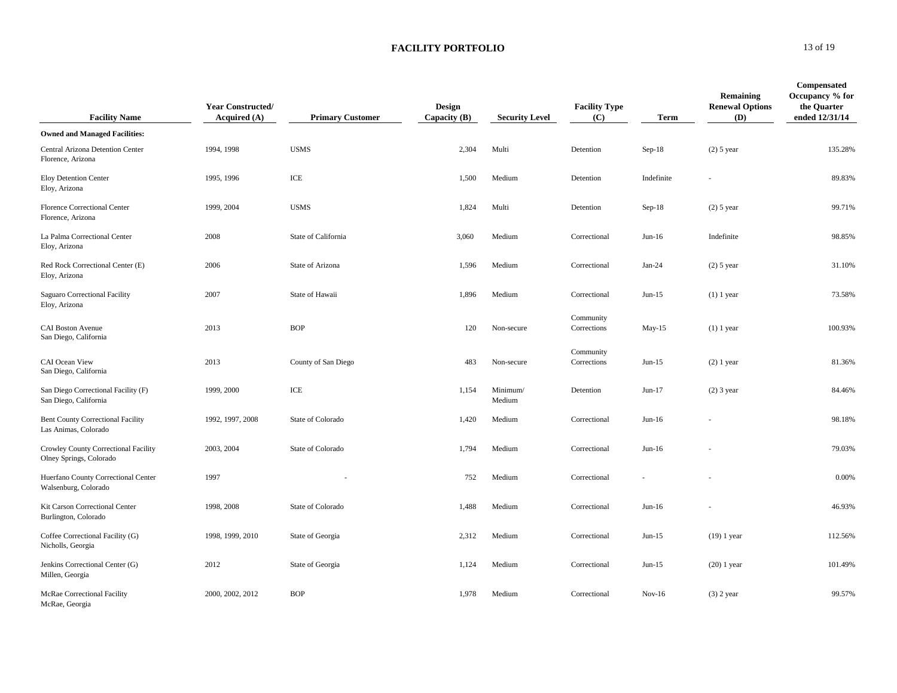### **FACILITY PORTFOLIO** 13 of 19

| <b>Facility Name</b>                                             | <b>Year Constructed/</b><br>Acquired $(A)$ | <b>Primary Customer</b> | Design<br>Capacity $(B)$ | <b>Security Level</b> | <b>Facility Type</b><br>(C) | Term       | Remaining<br><b>Renewal Options</b><br>(D) | Compensated<br>Occupancy % for<br>the Quarter<br>ended 12/31/14 |
|------------------------------------------------------------------|--------------------------------------------|-------------------------|--------------------------|-----------------------|-----------------------------|------------|--------------------------------------------|-----------------------------------------------------------------|
| <b>Owned and Managed Facilities:</b>                             |                                            |                         |                          |                       |                             |            |                                            |                                                                 |
| Central Arizona Detention Center<br>Florence, Arizona            | 1994, 1998                                 | <b>USMS</b>             | 2,304                    | Multi                 | Detention                   | $Sep-18$   | $(2)$ 5 year                               | 135.28%                                                         |
| Eloy Detention Center<br>Eloy, Arizona                           | 1995, 1996                                 | ICE                     | 1,500                    | Medium                | Detention                   | Indefinite |                                            | 89.83%                                                          |
| <b>Florence Correctional Center</b><br>Florence, Arizona         | 1999, 2004                                 | <b>USMS</b>             | 1,824                    | Multi                 | Detention                   | $Sep-18$   | $(2)$ 5 year                               | 99.71%                                                          |
| La Palma Correctional Center<br>Eloy, Arizona                    | 2008                                       | State of California     | 3,060                    | Medium                | Correctional                | $Jun-16$   | Indefinite                                 | 98.85%                                                          |
| Red Rock Correctional Center (E)<br>Eloy, Arizona                | 2006                                       | State of Arizona        | 1,596                    | Medium                | Correctional                | $Jan-24$   | $(2)$ 5 year                               | 31.10%                                                          |
| Saguaro Correctional Facility<br>Eloy, Arizona                   | 2007                                       | State of Hawaii         | 1,896                    | Medium                | Correctional                | $Jun-15$   | $(1)$ 1 year                               | 73.58%                                                          |
| <b>CAI Boston Avenue</b><br>San Diego, California                | 2013                                       | <b>BOP</b>              | 120                      | Non-secure            | Community<br>Corrections    | May-15     | $(1)$ 1 year                               | 100.93%                                                         |
| CAI Ocean View<br>San Diego, California                          | 2013                                       | County of San Diego     | 483                      | Non-secure            | Community<br>Corrections    | $Jun-15$   | $(2)$ 1 year                               | 81.36%                                                          |
| San Diego Correctional Facility (F)<br>San Diego, California     | 1999, 2000                                 | ICE                     | 1,154                    | Minimum/<br>Medium    | Detention                   | $Jun-17$   | $(2)$ 3 year                               | 84.46%                                                          |
| <b>Bent County Correctional Facility</b><br>Las Animas, Colorado | 1992, 1997, 2008                           | State of Colorado       | 1,420                    | Medium                | Correctional                | $Jun-16$   |                                            | 98.18%                                                          |
| Crowley County Correctional Facility<br>Olney Springs, Colorado  | 2003, 2004                                 | State of Colorado       | 1,794                    | Medium                | Correctional                | $Jun-16$   |                                            | 79.03%                                                          |
| Huerfano County Correctional Center<br>Walsenburg, Colorado      | 1997                                       |                         | 752                      | Medium                | Correctional                |            |                                            | 0.00%                                                           |
| Kit Carson Correctional Center<br>Burlington, Colorado           | 1998, 2008                                 | State of Colorado       | 1,488                    | Medium                | Correctional                | $Jun-16$   |                                            | 46.93%                                                          |
| Coffee Correctional Facility (G)<br>Nicholls, Georgia            | 1998, 1999, 2010                           | State of Georgia        | 2,312                    | Medium                | Correctional                | $Jun-15$   | $(19)$ 1 year                              | 112.56%                                                         |
| Jenkins Correctional Center (G)<br>Millen, Georgia               | 2012                                       | State of Georgia        | 1,124                    | Medium                | Correctional                | $Jun-15$   | $(20)$ 1 year                              | 101.49%                                                         |
| McRae Correctional Facility<br>McRae, Georgia                    | 2000, 2002, 2012                           | <b>BOP</b>              | 1,978                    | Medium                | Correctional                | $Nov-16$   | $(3)$ 2 year                               | 99.57%                                                          |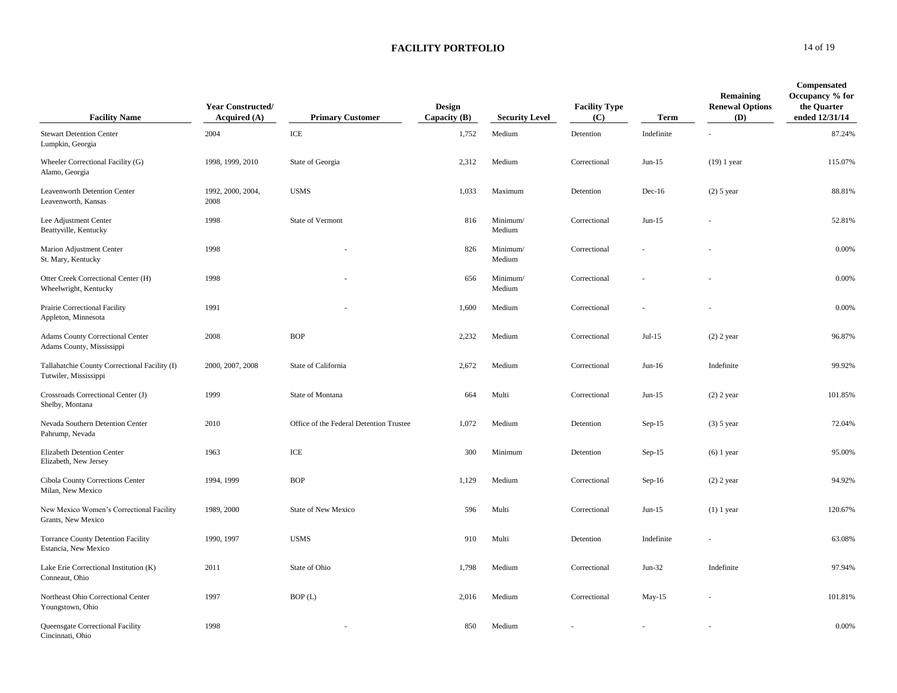**FACILITY PORTFOLIO** 14 of 19

| <b>Facility Name</b>                                                   | <b>Year Constructed/</b><br>Acquired $(A)$ | <b>Primary Customer</b>                 | Design<br>Capacity $(B)$ | <b>Security Level</b> | <b>Facility Type</b><br>(C) | <b>Term</b> | Remaining<br><b>Renewal Options</b><br>(D) | Compensated<br>Occupancy % for<br>the Quarter<br>ended 12/31/14 |
|------------------------------------------------------------------------|--------------------------------------------|-----------------------------------------|--------------------------|-----------------------|-----------------------------|-------------|--------------------------------------------|-----------------------------------------------------------------|
| <b>Stewart Detention Center</b><br>Lumpkin, Georgia                    | 2004                                       | ICE                                     | 1,752                    | Medium                | Detention                   | Indefinite  |                                            | 87.24%                                                          |
| Wheeler Correctional Facility (G)<br>Alamo, Georgia                    | 1998, 1999, 2010                           | State of Georgia                        | 2,312                    | Medium                | Correctional                | $Jun-15$    | $(19)$ 1 year                              | 115.07%                                                         |
| Leavenworth Detention Center<br>Leavenworth, Kansas                    | 1992, 2000, 2004,<br>2008                  | <b>USMS</b>                             | 1,033                    | Maximum               | Detention                   | $Dec-16$    | $(2)$ 5 year                               | 88.81%                                                          |
| Lee Adjustment Center<br>Beattyville, Kentucky                         | 1998                                       | State of Vermont                        | 816                      | Minimum/<br>Medium    | Correctional                | $Jun-15$    |                                            | 52.81%                                                          |
| Marion Adjustment Center<br>St. Mary, Kentucky                         | 1998                                       |                                         | 826                      | Minimum/<br>Medium    | Correctional                |             |                                            | 0.00%                                                           |
| Otter Creek Correctional Center (H)<br>Wheelwright, Kentucky           | 1998                                       |                                         | 656                      | Minimum/<br>Medium    | Correctional                |             |                                            | 0.00%                                                           |
| Prairie Correctional Facility<br>Appleton, Minnesota                   | 1991                                       |                                         | 1,600                    | Medium                | Correctional                |             |                                            | 0.00%                                                           |
| Adams County Correctional Center<br>Adams County, Mississippi          | 2008                                       | <b>BOP</b>                              | 2,232                    | Medium                | Correctional                | $Jul-15$    | $(2)$ 2 year                               | 96.87%                                                          |
| Tallahatchie County Correctional Facility (I)<br>Tutwiler, Mississippi | 2000, 2007, 2008                           | State of California                     | 2,672                    | Medium                | Correctional                | $Jun-16$    | Indefinite                                 | 99.92%                                                          |
| Crossroads Correctional Center (J)<br>Shelby, Montana                  | 1999                                       | State of Montana                        | 664                      | Multi                 | Correctional                | $Jun-15$    | $(2)$ 2 year                               | 101.85%                                                         |
| Nevada Southern Detention Center<br>Pahrump, Nevada                    | 2010                                       | Office of the Federal Detention Trustee | 1,072                    | Medium                | Detention                   | $Sep-15$    | $(3)$ 5 year                               | 72.04%                                                          |
| Elizabeth Detention Center<br>Elizabeth, New Jersey                    | 1963                                       | ICE                                     | 300                      | Minimum               | Detention                   | $Sep-15$    | $(6)$ 1 year                               | 95.00%                                                          |
| Cibola County Corrections Center<br>Milan, New Mexico                  | 1994, 1999                                 | <b>BOP</b>                              | 1,129                    | Medium                | Correctional                | $Sep-16$    | $(2)$ 2 year                               | 94.92%                                                          |
| New Mexico Women's Correctional Facility<br>Grants, New Mexico         | 1989, 2000                                 | State of New Mexico                     | 596                      | Multi                 | Correctional                | $Jun-15$    | $(1)$ 1 year                               | 120.67%                                                         |
| <b>Torrance County Detention Facility</b><br>Estancia, New Mexico      | 1990, 1997                                 | <b>USMS</b>                             | 910                      | Multi                 | Detention                   | Indefinite  |                                            | 63.08%                                                          |
| Lake Erie Correctional Institution (K)<br>Conneaut, Ohio               | 2011                                       | State of Ohio                           | 1,798                    | Medium                | Correctional                | $Jun-32$    | Indefinite                                 | 97.94%                                                          |
| Northeast Ohio Correctional Center<br>Youngstown, Ohio                 | 1997                                       | BOP(L)                                  | 2,016                    | Medium                | Correctional                | $May-15$    |                                            | 101.81%                                                         |
| Queensgate Correctional Facility<br>Cincinnati, Ohio                   | 1998                                       |                                         | 850                      | Medium                |                             |             |                                            | 0.00%                                                           |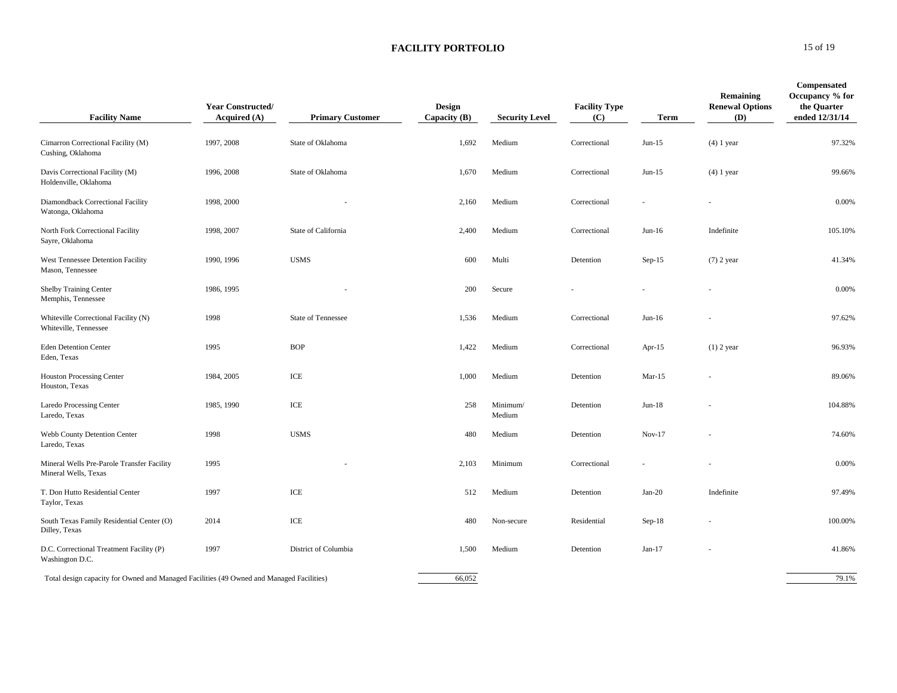### **FACILITY PORTFOLIO** 15 of 19

| <b>Facility Name</b>                                                                     | <b>Year Constructed/</b><br>Acquired (A) | <b>Primary Customer</b> | Design<br>Capacity $(B)$ | <b>Security Level</b> | <b>Facility Type</b><br>(C) | Term      | Remaining<br><b>Renewal Options</b><br><b>(D)</b> | Compensated<br>Occupancy % for<br>the Quarter<br>ended 12/31/14 |
|------------------------------------------------------------------------------------------|------------------------------------------|-------------------------|--------------------------|-----------------------|-----------------------------|-----------|---------------------------------------------------|-----------------------------------------------------------------|
| Cimarron Correctional Facility (M)<br>Cushing, Oklahoma                                  | 1997, 2008                               | State of Oklahoma       | 1,692                    | Medium                | Correctional                | $Jun-15$  | $(4)$ 1 year                                      | 97.32%                                                          |
| Davis Correctional Facility (M)<br>Holdenville, Oklahoma                                 | 1996, 2008                               | State of Oklahoma       | 1,670                    | Medium                | Correctional                | $Jun-15$  | $(4)$ 1 year                                      | 99.66%                                                          |
| Diamondback Correctional Facility<br>Watonga, Oklahoma                                   | 1998, 2000                               |                         | 2,160                    | Medium                | Correctional                |           |                                                   | 0.00%                                                           |
| North Fork Correctional Facility<br>Sayre, Oklahoma                                      | 1998, 2007                               | State of California     | 2,400                    | Medium                | Correctional                | $Jun-16$  | Indefinite                                        | 105.10%                                                         |
| West Tennessee Detention Facility<br>Mason, Tennessee                                    | 1990, 1996                               | <b>USMS</b>             | 600                      | Multi                 | Detention                   | $Sep-15$  | $(7)$ 2 year                                      | 41.34%                                                          |
| Shelby Training Center<br>Memphis, Tennessee                                             | 1986, 1995                               |                         | 200                      | Secure                |                             |           |                                                   | 0.00%                                                           |
| Whiteville Correctional Facility (N)<br>Whiteville, Tennessee                            | 1998                                     | State of Tennessee      | 1,536                    | Medium                | Correctional                | $Jun-16$  |                                                   | 97.62%                                                          |
| <b>Eden Detention Center</b><br>Eden, Texas                                              | 1995                                     | <b>BOP</b>              | 1,422                    | Medium                | Correctional                | Apr- $15$ | $(1)$ 2 year                                      | 96.93%                                                          |
| <b>Houston Processing Center</b><br>Houston, Texas                                       | 1984, 2005                               | ICE                     | 1,000                    | Medium                | Detention                   | $Mar-15$  |                                                   | 89.06%                                                          |
| Laredo Processing Center<br>Laredo, Texas                                                | 1985, 1990                               | ICE                     | 258                      | Minimum/<br>Medium    | Detention                   | $Jun-18$  |                                                   | 104.88%                                                         |
| Webb County Detention Center<br>Laredo, Texas                                            | 1998                                     | <b>USMS</b>             | 480                      | Medium                | Detention                   | $Nov-17$  |                                                   | 74.60%                                                          |
| Mineral Wells Pre-Parole Transfer Facility<br>Mineral Wells, Texas                       | 1995                                     |                         | 2,103                    | Minimum               | Correctional                |           |                                                   | 0.00%                                                           |
| T. Don Hutto Residential Center<br>Taylor, Texas                                         | 1997                                     | ICE                     | 512                      | Medium                | Detention                   | $Jan-20$  | Indefinite                                        | 97.49%                                                          |
| South Texas Family Residential Center (O)<br>Dilley, Texas                               | 2014                                     | ICE                     | 480                      | Non-secure            | Residential                 | $Sep-18$  |                                                   | 100.00%                                                         |
| D.C. Correctional Treatment Facility (P)<br>Washington D.C.                              | 1997                                     | District of Columbia    | 1,500                    | Medium                | Detention                   | $Jan-17$  |                                                   | 41.86%                                                          |
| Total design capacity for Owned and Managed Facilities (49 Owned and Managed Facilities) |                                          |                         | 66,052                   |                       |                             |           |                                                   | 79.1%                                                           |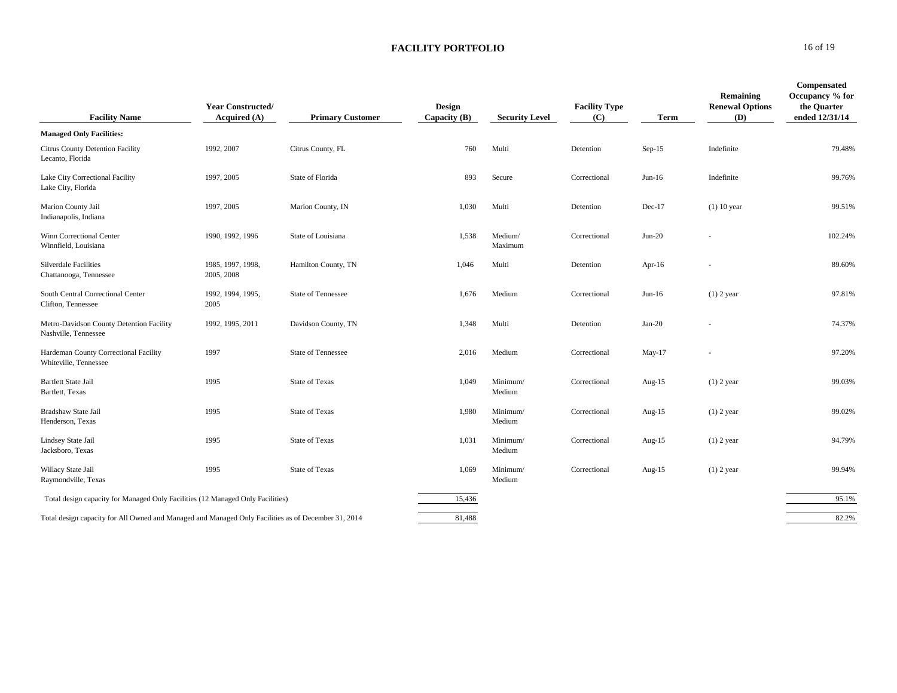### **FACILITY PORTFOLIO** 16 of 19

| <b>Facility Name</b>                                                                                | <b>Year Constructed/</b><br>Acquired (A) | <b>Primary Customer</b>   | Design<br>Capacity $(B)$ | <b>Security Level</b> | <b>Facility Type</b><br>(C) | Term      | Remaining<br><b>Renewal Options</b><br>(D) | Compensated<br>Occupancy % for<br>the Quarter<br>ended 12/31/14 |
|-----------------------------------------------------------------------------------------------------|------------------------------------------|---------------------------|--------------------------|-----------------------|-----------------------------|-----------|--------------------------------------------|-----------------------------------------------------------------|
| <b>Managed Only Facilities:</b>                                                                     |                                          |                           |                          |                       |                             |           |                                            |                                                                 |
| <b>Citrus County Detention Facility</b><br>Lecanto, Florida                                         | 1992, 2007                               | Citrus County, FL         | 760                      | Multi                 | Detention                   | $Sep-15$  | Indefinite                                 | 79.48%                                                          |
| Lake City Correctional Facility<br>Lake City, Florida                                               | 1997, 2005                               | State of Florida          | 893                      | Secure                | Correctional                | $Jun-16$  | Indefinite                                 | 99.76%                                                          |
| Marion County Jail<br>Indianapolis, Indiana                                                         | 1997, 2005                               | Marion County, IN         | 1,030                    | Multi                 | Detention                   | $Dec-17$  | $(1)$ 10 year                              | 99.51%                                                          |
| Winn Correctional Center<br>Winnfield, Louisiana                                                    | 1990, 1992, 1996                         | State of Louisiana        | 1,538                    | Medium/<br>Maximum    | Correctional                | $Jun-20$  |                                            | 102.24%                                                         |
| Silverdale Facilities<br>Chattanooga, Tennessee                                                     | 1985, 1997, 1998,<br>2005, 2008          | Hamilton County, TN       | 1,046                    | Multi                 | Detention                   | Apr-16    | ٠                                          | 89.60%                                                          |
| South Central Correctional Center<br>Clifton, Tennessee                                             | 1992, 1994, 1995,<br>2005                | <b>State of Tennessee</b> | 1,676                    | Medium                | Correctional                | $Jun-16$  | $(1)$ 2 year                               | 97.81%                                                          |
| Metro-Davidson County Detention Facility<br>Nashville, Tennessee                                    | 1992, 1995, 2011                         | Davidson County, TN       | 1,348                    | Multi                 | Detention                   | $Jan-20$  |                                            | 74.37%                                                          |
| Hardeman County Correctional Facility<br>Whiteville, Tennessee                                      | 1997                                     | <b>State of Tennessee</b> | 2,016                    | Medium                | Correctional                | May-17    |                                            | 97.20%                                                          |
| <b>Bartlett State Jail</b><br>Bartlett, Texas                                                       | 1995                                     | <b>State of Texas</b>     | 1,049                    | Minimum/<br>Medium    | Correctional                | Aug- $15$ | $(1)$ 2 year                               | 99.03%                                                          |
| Bradshaw State Jail<br>Henderson, Texas                                                             | 1995                                     | <b>State of Texas</b>     | 1,980                    | Minimum/<br>Medium    | Correctional                | Aug-15    | $(1)$ 2 year                               | 99.02%                                                          |
| Lindsey State Jail<br>Jacksboro, Texas                                                              | 1995                                     | <b>State of Texas</b>     | 1,031                    | Minimum/<br>Medium    | Correctional                | Aug- $15$ | $(1)$ 2 year                               | 94.79%                                                          |
| Willacy State Jail<br>Raymondville, Texas                                                           | 1995                                     | <b>State of Texas</b>     | 1,069                    | Minimum/<br>Medium    | Correctional                | Aug- $15$ | $(1)$ 2 year                               | 99.94%                                                          |
| Total design capacity for Managed Only Facilities (12 Managed Only Facilities)                      |                                          |                           | 15,436                   |                       |                             |           |                                            | 95.1%                                                           |
| Total design capacity for All Owned and Managed and Managed Only Facilities as of December 31, 2014 |                                          |                           | 81.488                   |                       |                             |           |                                            | 82.2%                                                           |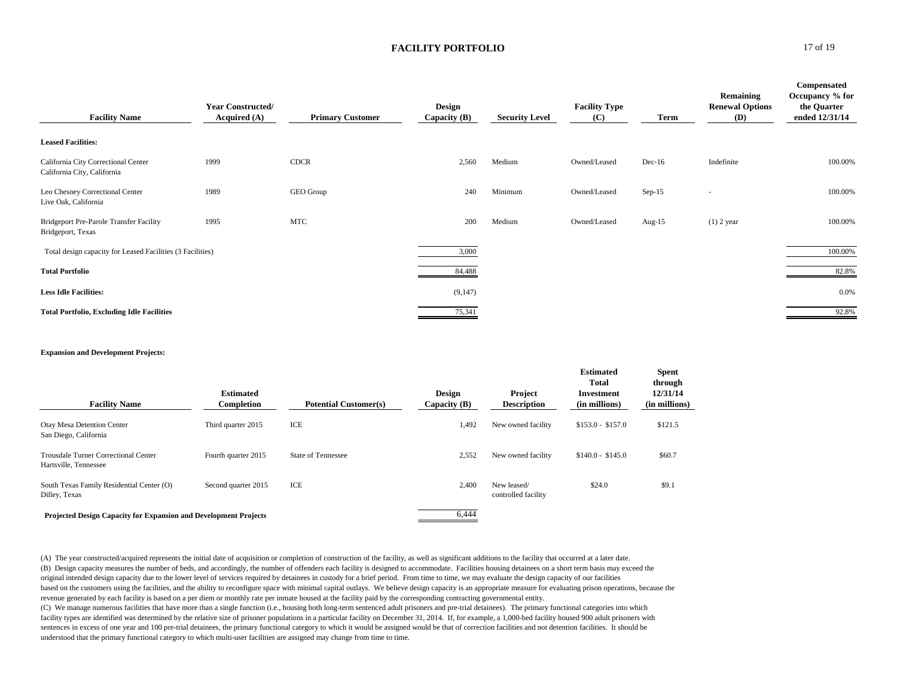#### **FACILITY PORTFOLIO** 17 of 19

| <b>Facility Name</b>                                               | <b>Year Constructed/</b><br>Acquired (A) | <b>Primary Customer</b> | Design<br>Capacity $(B)$ | <b>Security Level</b> | <b>Facility Type</b><br>(C) | Term      | Remaining<br><b>Renewal Options</b><br><b>(D)</b> | Compensated<br>Occupancy % for<br>the Quarter<br>ended 12/31/14 |
|--------------------------------------------------------------------|------------------------------------------|-------------------------|--------------------------|-----------------------|-----------------------------|-----------|---------------------------------------------------|-----------------------------------------------------------------|
| <b>Leased Facilities:</b>                                          |                                          |                         |                          |                       |                             |           |                                                   |                                                                 |
| California City Correctional Center<br>California City, California | 1999                                     | <b>CDCR</b>             | 2,560                    | Medium                | Owned/Leased                | $Dec-16$  | Indefinite                                        | 100.00%                                                         |
| Leo Chesney Correctional Center<br>Live Oak, California            | 1989                                     | GEO Group               | 240                      | Minimum               | Owned/Leased                | $Sep-15$  | ۰                                                 | 100.00%                                                         |
| Bridgeport Pre-Parole Transfer Facility<br>Bridgeport, Texas       | 1995                                     | <b>MTC</b>              | 200                      | Medium                | Owned/Leased                | Aug- $15$ | $(1)$ 2 year                                      | 100.00%                                                         |
| Total design capacity for Leased Facilities (3 Facilities)         |                                          |                         | 3,000                    |                       |                             |           |                                                   | 100.00%                                                         |
| <b>Total Portfolio</b>                                             |                                          |                         | 84,488                   |                       |                             |           |                                                   | 82.8%                                                           |
| <b>Less Idle Facilities:</b>                                       |                                          |                         | (9,147)                  |                       |                             |           |                                                   | 0.0%                                                            |
| <b>Total Portfolio, Excluding Idle Facilities</b>                  |                                          |                         | 75,341                   |                       |                             |           |                                                   | 92.8%                                                           |

#### **Expansion and Development Projects:**

| <b>Facility Name</b>                                                    | <b>Estimated</b><br>Completion | <b>Potential Customer(s)</b> | <b>Design</b><br>Capacity $(B)$ | Project<br><b>Description</b>      | <b>Estimated</b><br><b>Total</b><br>Investment<br>(in millions) | <b>Spent</b><br>through<br>12/31/14<br>(in millions) |
|-------------------------------------------------------------------------|--------------------------------|------------------------------|---------------------------------|------------------------------------|-----------------------------------------------------------------|------------------------------------------------------|
| Otay Mesa Detention Center<br>San Diego, California                     | Third quarter 2015             | ICE                          | 1,492                           | New owned facility                 | $$153.0 - $157.0$                                               | \$121.5                                              |
| Trousdale Turner Correctional Center<br>Hartsville, Tennessee           | Fourth quarter 2015            | <b>State of Tennessee</b>    | 2,552                           | New owned facility                 | $$140.0 - $145.0$                                               | \$60.7                                               |
| South Texas Family Residential Center (O)<br>Dilley, Texas              | Second quarter 2015            | ICE                          | 2.400                           | New leased/<br>controlled facility | \$24.0                                                          | \$9.1                                                |
| <b>Projected Design Capacity for Expansion and Development Projects</b> |                                |                              | 6.444                           |                                    |                                                                 |                                                      |

(A) The year constructed/acquired represents the initial date of acquisition or completion of construction of the facility, as well as significant additions to the facility that occurred at a later date. (B) Design capacity measures the number of beds, and accordingly, the number of offenders each facility is designed to accommodate. Facilities housing detainees on a short term basis may exceed the original intended design capacity due to the lower level of services required by detainees in custody for a brief period. From time to time, we may evaluate the design capacity of our facilities based on the customers using the facilities, and the ability to reconfigure space with minimal capital outlays. We believe design capacity is an appropriate measure for evaluating prison operations, because the revenue generated by each facility is based on a per diem or monthly rate per inmate housed at the facility paid by the corresponding contracting governmental entity.

(C) We manage numerous facilities that have more than a single function (i.e., housing both long-term sentenced adult prisoners and pre-trial detainees). The primary functional categories into which facility types are identified was determined by the relative size of prisoner populations in a particular facility on December 31, 2014. If, for example, a 1,000-bed facility housed 900 adult prisoners with sentences in excess of one year and 100 pre-trial detainees, the primary functional category to which it would be assigned would be that of correction facilities and not detention facilities. It should be understood that the primary functional category to which multi-user facilities are assigned may change from time to time.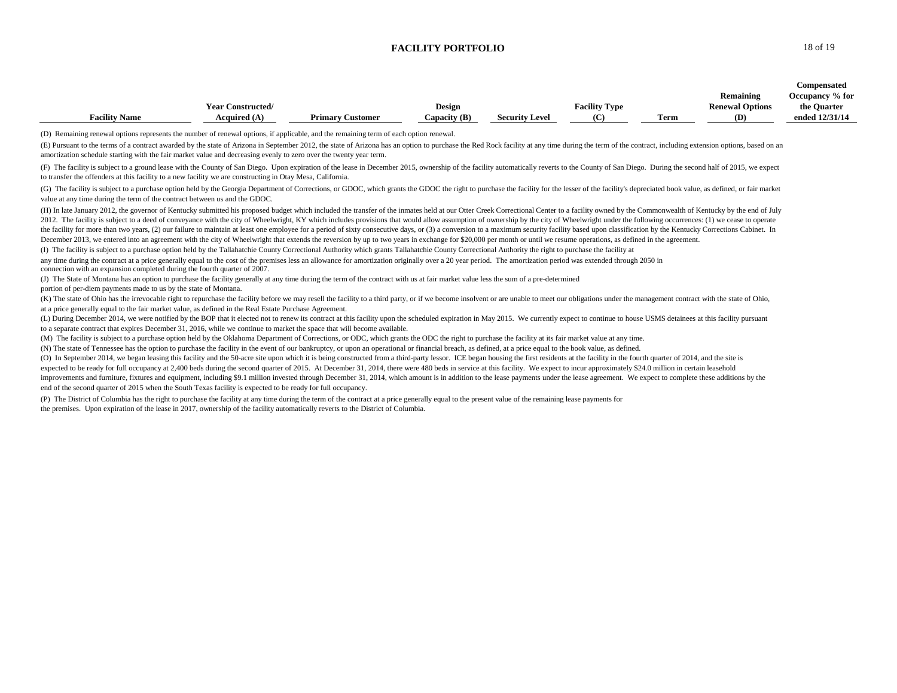#### **FACILITY PORTFOLIO** 18 of 19

|                      |                          |                         |                |                       |                      |      |                        | Compensated     |
|----------------------|--------------------------|-------------------------|----------------|-----------------------|----------------------|------|------------------------|-----------------|
|                      |                          |                         |                |                       |                      |      | Remaining              | Occupancy % for |
|                      | <b>Year Constructed/</b> |                         | Design         |                       | <b>Facility Type</b> |      | <b>Renewal Options</b> | the Quarter     |
| <b>Facility Name</b> | Acquired $(A)$           | <b>Primary Customer</b> | Capacity $(B)$ | <b>Security Level</b> | (C                   | Term | (D)                    | ended 12/31/14  |

(D) Remaining renewal options represents the number of renewal options, if applicable, and the remaining term of each option renewal.

(E) Pursuant to the terms of a contract awarded by the state of Arizona in September 2012, the state of Arizona has an option to purchase the Red Rock facility at any time during the term of the contract, including extensi amortization schedule starting with the fair market value and decreasing evenly to zero over the twenty year term.

(F) The facility is subject to a ground lease with the County of San Diego. Upon expiration of the lease in December 2015, ownership of the facility automatically reverts to the County of San Diego. During the second half to transfer the offenders at this facility to a new facility we are constructing in Otay Mesa, California.

(G) The facility is subject to a purchase option held by the Georgia Department of Corrections, or GDOC, which grants the GDOC the right to purchase the facility for the lesser of the facility's depreciated book value, as value at any time during the term of the contract between us and the GDOC.

(H) In late January 2012, the governor of Kentucky submitted his proposed budget which included the transfer of the inmates held at our Otter Creek Correctional Center to a facility owned by the Commonwealth of Kentucky by 2012. The facility is subject to a deed of conveyance with the city of Wheelwright, KY which includes provisions that would allow assumption of ownership by the city of Wheelwright under the following occurrences: (1) we c the facility for more than two years, (2) our failure to maintain at least one employee for a period of sixty consecutive days, or (3) a conversion to a maximum security facility based upon classification by the Kentucky C December 2013, we entered into an agreement with the city of Wheelwright that extends the reversion by up to two years in exchange for \$20,000 per month or until we resume operations, as defined in the agreement.

(I) The facility is subject to a purchase option held by the Tallahatchie County Correctional Authority which grants Tallahatchie County Correctional Authority the right to purchase the facility at any time during the contract at a price generally equal to the cost of the premises less an allowance for amortization originally over a 20 year period. The amortization period was extended through 2050 in connection with an expansion completed during the fourth quarter of 2007.

(J) The State of Montana has an option to purchase the facility generally at any time during the term of the contract with us at fair market value less the sum of a pre-determined

portion of per-diem payments made to us by the state of Montana.

(K) The state of Ohio has the irrevocable right to repurchase the facility before we may resell the facility to a third party, or if we become insolvent or are unable to meet our obligations under the management contract w at a price generally equal to the fair market value, as defined in the Real Estate Purchase Agreement.

(L) During December 2014, we were notified by the BOP that it elected not to renew its contract at this facility upon the scheduled expiration in May 2015. We currently expect to continue to house USMS detainees at this fa to a separate contract that expires December 31, 2016, while we continue to market the space that will become available.

(M) The facility is subject to a purchase option held by the Oklahoma Department of Corrections, or ODC, which grants the ODC the right to purchase the facility at its fair market value at any time.

(N) The state of Tennessee has the option to purchase the facility in the event of our bankruptcy, or upon an operational or financial breach, as defined, at a price equal to the book value, as defined.

(O) In September 2014, we began leasing this facility and the 50-acre site upon which it is being constructed from a third-party lessor. ICE began housing the first residents at the facility in the fourth quarter of 2014, expected to be ready for full occupancy at 2,400 beds during the second quarter of 2015. At December 31, 2014, there were 480 beds in service at this facility. We expect to incur approximately \$24.0 million in certain leas improvements and furniture, fixtures and equipment, including \$9.1 million invested through December 31, 2014, which amount is in addition to the lease payments under the lease agreement. We expect to complete these additi end of the second quarter of 2015 when the South Texas facility is expected to be ready for full occupancy.

(P) The District of Columbia has the right to purchase the facility at any time during the term of the contract at a price generally equal to the present value of the remaining lease payments for the premises. Upon expiration of the lease in 2017, ownership of the facility automatically reverts to the District of Columbia.